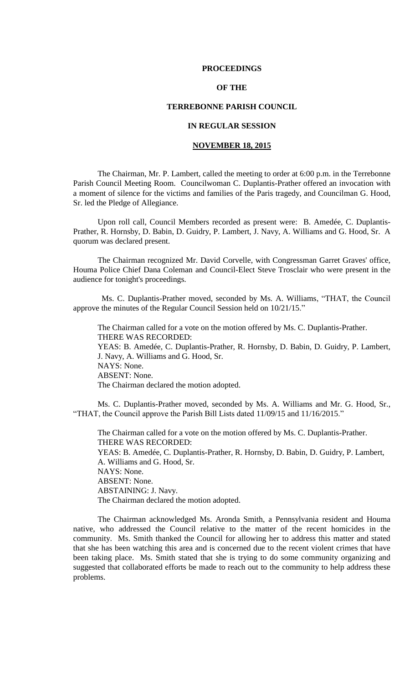### **PROCEEDINGS**

# **OF THE**

# **TERREBONNE PARISH COUNCIL**

# **IN REGULAR SESSION**

#### **NOVEMBER 18, 2015**

The Chairman, Mr. P. Lambert, called the meeting to order at 6:00 p.m. in the Terrebonne Parish Council Meeting Room. Councilwoman C. Duplantis-Prather offered an invocation with a moment of silence for the victims and families of the Paris tragedy, and Councilman G. Hood, Sr. led the Pledge of Allegiance.

Upon roll call, Council Members recorded as present were: B. Amedée, C. Duplantis-Prather, R. Hornsby, D. Babin, D. Guidry, P. Lambert, J. Navy, A. Williams and G. Hood, Sr. A quorum was declared present.

The Chairman recognized Mr. David Corvelle, with Congressman Garret Graves' office, Houma Police Chief Dana Coleman and Council-Elect Steve Trosclair who were present in the audience for tonight's proceedings.

 Ms. C. Duplantis-Prather moved, seconded by Ms. A. Williams, "THAT, the Council approve the minutes of the Regular Council Session held on 10/21/15."

The Chairman called for a vote on the motion offered by Ms. C. Duplantis-Prather. THERE WAS RECORDED: YEAS: B. Amedée, C. Duplantis-Prather, R. Hornsby, D. Babin, D. Guidry, P. Lambert, J. Navy, A. Williams and G. Hood, Sr. NAYS: None. ABSENT: None. The Chairman declared the motion adopted.

Ms. C. Duplantis-Prather moved, seconded by Ms. A. Williams and Mr. G. Hood, Sr., "THAT, the Council approve the Parish Bill Lists dated 11/09/15 and 11/16/2015."

The Chairman called for a vote on the motion offered by Ms. C. Duplantis-Prather. THERE WAS RECORDED: YEAS: B. Amedée, C. Duplantis-Prather, R. Hornsby, D. Babin, D. Guidry, P. Lambert,

A. Williams and G. Hood, Sr. NAYS: None. ABSENT: None. ABSTAINING: J. Navy. The Chairman declared the motion adopted.

The Chairman acknowledged Ms. Aronda Smith, a Pennsylvania resident and Houma native, who addressed the Council relative to the matter of the recent homicides in the community. Ms. Smith thanked the Council for allowing her to address this matter and stated that she has been watching this area and is concerned due to the recent violent crimes that have been taking place. Ms. Smith stated that she is trying to do some community organizing and suggested that collaborated efforts be made to reach out to the community to help address these problems.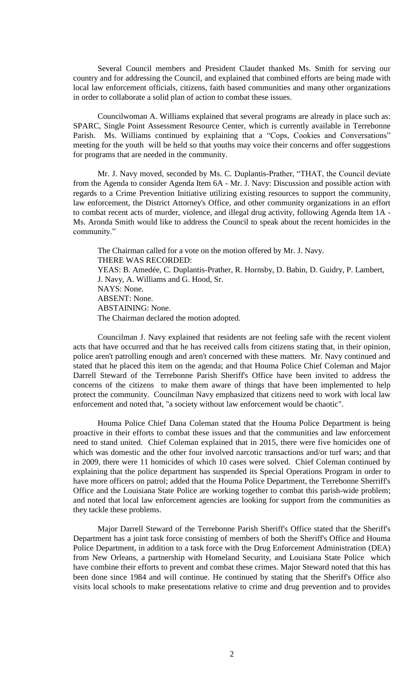Several Council members and President Claudet thanked Ms. Smith for serving our country and for addressing the Council, and explained that combined efforts are being made with local law enforcement officials, citizens, faith based communities and many other organizations in order to collaborate a solid plan of action to combat these issues.

Councilwoman A. Williams explained that several programs are already in place such as: SPARC, Single Point Assessment Resource Center, which is currently available in Terrebonne Parish. Ms. Williams continued by explaining that a "Cops, Cookies and Conversations" meeting for the youth will be held so that youths may voice their concerns and offer suggestions for programs that are needed in the community.

Mr. J. Navy moved, seconded by Ms. C. Duplantis-Prather, "THAT, the Council deviate from the Agenda to consider Agenda Item 6A - Mr. J. Navy: Discussion and possible action with regards to a Crime Prevention Initiative utilizing existing resources to support the community, law enforcement, the District Attorney's Office, and other community organizations in an effort to combat recent acts of murder, violence, and illegal drug activity, following Agenda Item 1A - Ms. Aronda Smith would like to address the Council to speak about the recent homicides in the community."

The Chairman called for a vote on the motion offered by Mr. J. Navy. THERE WAS RECORDED: YEAS: B. Amedée, C. Duplantis-Prather, R. Hornsby, D. Babin, D. Guidry, P. Lambert, J. Navy, A. Williams and G. Hood, Sr. NAYS: None. ABSENT: None. ABSTAINING: None. The Chairman declared the motion adopted.

Councilman J. Navy explained that residents are not feeling safe with the recent violent acts that have occurred and that he has received calls from citizens stating that, in their opinion, police aren't patrolling enough and aren't concerned with these matters. Mr. Navy continued and stated that he placed this item on the agenda; and that Houma Police Chief Coleman and Major Darrell Steward of the Terrebonne Parish Sheriff's Office have been invited to address the concerns of the citizens to make them aware of things that have been implemented to help protect the community. Councilman Navy emphasized that citizens need to work with local law enforcement and noted that, "a society without law enforcement would be chaotic".

Houma Police Chief Dana Coleman stated that the Houma Police Department is being proactive in their efforts to combat these issues and that the communities and law enforcement need to stand united. Chief Coleman explained that in 2015, there were five homicides one of which was domestic and the other four involved narcotic transactions and/or turf wars; and that in 2009, there were 11 homicides of which 10 cases were solved. Chief Coleman continued by explaining that the police department has suspended its Special Operations Program in order to have more officers on patrol; added that the Houma Police Department, the Terrebonne Sherriff's Office and the Louisiana State Police are working together to combat this parish-wide problem; and noted that local law enforcement agencies are looking for support from the communities as they tackle these problems.

Major Darrell Steward of the Terrebonne Parish Sheriff's Office stated that the Sheriff's Department has a joint task force consisting of members of both the Sheriff's Office and Houma Police Department, in addition to a task force with the Drug Enforcement Administration (DEA) from New Orleans, a partnership with Homeland Security, and Louisiana State Police which have combine their efforts to prevent and combat these crimes. Major Steward noted that this has been done since 1984 and will continue. He continued by stating that the Sheriff's Office also visits local schools to make presentations relative to crime and drug prevention and to provides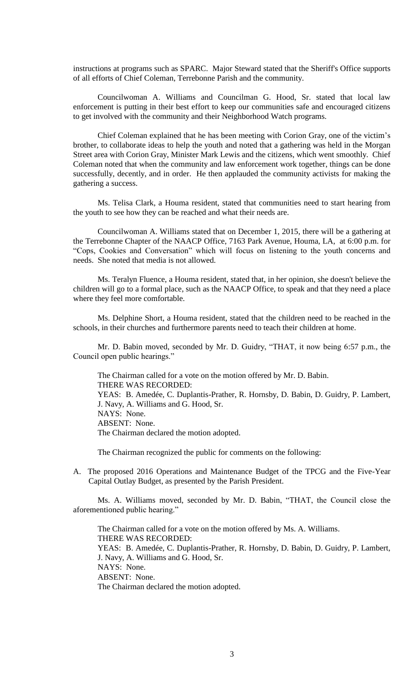instructions at programs such as SPARC. Major Steward stated that the Sheriff's Office supports of all efforts of Chief Coleman, Terrebonne Parish and the community.

Councilwoman A. Williams and Councilman G. Hood, Sr. stated that local law enforcement is putting in their best effort to keep our communities safe and encouraged citizens to get involved with the community and their Neighborhood Watch programs.

Chief Coleman explained that he has been meeting with Corion Gray, one of the victim's brother, to collaborate ideas to help the youth and noted that a gathering was held in the Morgan Street area with Corion Gray, Minister Mark Lewis and the citizens, which went smoothly. Chief Coleman noted that when the community and law enforcement work together, things can be done successfully, decently, and in order. He then applauded the community activists for making the gathering a success.

Ms. Telisa Clark, a Houma resident, stated that communities need to start hearing from the youth to see how they can be reached and what their needs are.

Councilwoman A. Williams stated that on December 1, 2015, there will be a gathering at the Terrebonne Chapter of the NAACP Office, 7163 Park Avenue, Houma, LA, at 6:00 p.m. for "Cops, Cookies and Conversation" which will focus on listening to the youth concerns and needs. She noted that media is not allowed.

Ms. Teralyn Fluence, a Houma resident, stated that, in her opinion, she doesn't believe the children will go to a formal place, such as the NAACP Office, to speak and that they need a place where they feel more comfortable.

Ms. Delphine Short, a Houma resident, stated that the children need to be reached in the schools, in their churches and furthermore parents need to teach their children at home.

Mr. D. Babin moved, seconded by Mr. D. Guidry, "THAT, it now being 6:57 p.m., the Council open public hearings."

The Chairman called for a vote on the motion offered by Mr. D. Babin. THERE WAS RECORDED: YEAS: B. Amedée, C. Duplantis-Prather, R. Hornsby, D. Babin, D. Guidry, P. Lambert, J. Navy, A. Williams and G. Hood, Sr. NAYS: None. ABSENT: None. The Chairman declared the motion adopted.

The Chairman recognized the public for comments on the following:

A. The proposed 2016 Operations and Maintenance Budget of the TPCG and the Five-Year Capital Outlay Budget, as presented by the Parish President.

Ms. A. Williams moved, seconded by Mr. D. Babin, "THAT, the Council close the aforementioned public hearing."

The Chairman called for a vote on the motion offered by Ms. A. Williams. THERE WAS RECORDED: YEAS: B. Amedée, C. Duplantis-Prather, R. Hornsby, D. Babin, D. Guidry, P. Lambert, J. Navy, A. Williams and G. Hood, Sr. NAYS: None. ABSENT: None. The Chairman declared the motion adopted.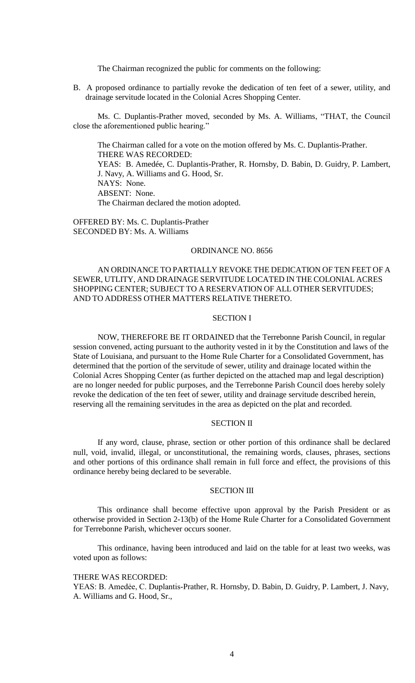The Chairman recognized the public for comments on the following:

B. A proposed ordinance to partially revoke the dedication of ten feet of a sewer, utility, and drainage servitude located in the Colonial Acres Shopping Center.

Ms. C. Duplantis-Prather moved, seconded by Ms. A. Williams, "THAT, the Council close the aforementioned public hearing."

The Chairman called for a vote on the motion offered by Ms. C. Duplantis-Prather. THERE WAS RECORDED: YEAS: B. Amedée, C. Duplantis-Prather, R. Hornsby, D. Babin, D. Guidry, P. Lambert, J. Navy, A. Williams and G. Hood, Sr. NAYS: None. ABSENT: None. The Chairman declared the motion adopted.

OFFERED BY: Ms. C. Duplantis-Prather SECONDED BY: Ms. A. Williams

#### ORDINANCE NO. 8656

# AN ORDINANCE TO PARTIALLY REVOKE THE DEDICATION OF TEN FEET OF A SEWER, UTLITY, AND DRAINAGE SERVITUDE LOCATED IN THE COLONIAL ACRES SHOPPING CENTER; SUBJECT TO A RESERVATION OF ALL OTHER SERVITUDES; AND TO ADDRESS OTHER MATTERS RELATIVE THERETO.

### SECTION I

NOW, THEREFORE BE IT ORDAINED that the Terrebonne Parish Council, in regular session convened, acting pursuant to the authority vested in it by the Constitution and laws of the State of Louisiana, and pursuant to the Home Rule Charter for a Consolidated Government, has determined that the portion of the servitude of sewer, utility and drainage located within the Colonial Acres Shopping Center (as further depicted on the attached map and legal description) are no longer needed for public purposes, and the Terrebonne Parish Council does hereby solely revoke the dedication of the ten feet of sewer, utility and drainage servitude described herein, reserving all the remaining servitudes in the area as depicted on the plat and recorded.

# SECTION II

If any word, clause, phrase, section or other portion of this ordinance shall be declared null, void, invalid, illegal, or unconstitutional, the remaining words, clauses, phrases, sections and other portions of this ordinance shall remain in full force and effect, the provisions of this ordinance hereby being declared to be severable.

# SECTION III

This ordinance shall become effective upon approval by the Parish President or as otherwise provided in Section 2-13(b) of the Home Rule Charter for a Consolidated Government for Terrebonne Parish, whichever occurs sooner.

This ordinance, having been introduced and laid on the table for at least two weeks, was voted upon as follows:

### THERE WAS RECORDED:

YEAS: B. Amedẻe, C. Duplantis-Prather, R. Hornsby, D. Babin, D. Guidry, P. Lambert, J. Navy, A. Williams and G. Hood, Sr.,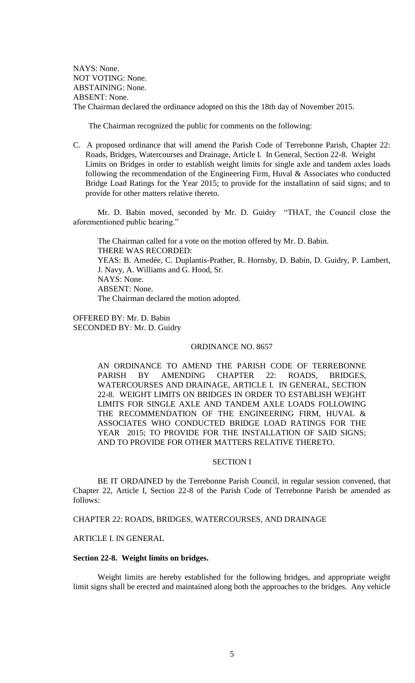NAYS: None. NOT VOTING: None. ABSTAINING: None. ABSENT: None. The Chairman declared the ordinance adopted on this the 18th day of November 2015.

The Chairman recognized the public for comments on the following:

C. A proposed ordinance that will amend the Parish Code of Terrebonne Parish, Chapter 22: Roads, Bridges, Watercourses and Drainage, Article I. In General, Section 22-8. Weight Limits on Bridges in order to establish weight limits for single axle and tandem axles loads following the recommendation of the Engineering Firm, Huval & Associates who conducted Bridge Load Ratings for the Year 2015; to provide for the installation of said signs; and to provide for other matters relative thereto.

Mr. D. Babin moved, seconded by Mr. D. Guidry "THAT, the Council close the aforementioned public hearing."

The Chairman called for a vote on the motion offered by Mr. D. Babin. THERE WAS RECORDED: YEAS: B. Amedée, C. Duplantis-Prather, R. Hornsby, D. Babin, D. Guidry, P. Lambert, J. Navy, A. Williams and G. Hood, Sr. NAYS: None. ABSENT: None. The Chairman declared the motion adopted.

OFFERED BY: Mr. D. Babin SECONDED BY: Mr. D. Guidry

### ORDINANCE NO. 8657

AN ORDINANCE TO AMEND THE PARISH CODE OF TERREBONNE PARISH BY AMENDING CHAPTER 22: ROADS, BRIDGES, WATERCOURSES AND DRAINAGE, ARTICLE I. IN GENERAL, SECTION 22-8. WEIGHT LIMITS ON BRIDGES IN ORDER TO ESTABLISH WEIGHT LIMITS FOR SINGLE AXLE AND TANDEM AXLE LOADS FOLLOWING THE RECOMMENDATION OF THE ENGINEERING FIRM, HUVAL & ASSOCIATES WHO CONDUCTED BRIDGE LOAD RATINGS FOR THE YEAR 2015; TO PROVIDE FOR THE INSTALLATION OF SAID SIGNS; AND TO PROVIDE FOR OTHER MATTERS RELATIVE THERETO.

### SECTION I

BE IT ORDAINED by the Terrebonne Parish Council, in regular session convened, that Chapter 22, Article I, Section 22-8 of the Parish Code of Terrebonne Parish be amended as follows:

CHAPTER 22: ROADS, BRIDGES, WATERCOURSES, AND DRAINAGE

# ARTICLE I. IN GENERAL

# **Section 22-8. Weight limits on bridges.**

Weight limits are hereby established for the following bridges, and appropriate weight limit signs shall be erected and maintained along both the approaches to the bridges. Any vehicle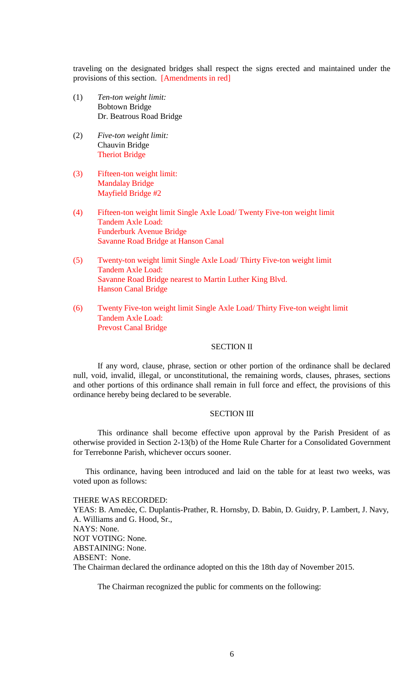traveling on the designated bridges shall respect the signs erected and maintained under the provisions of this section. [Amendments in red]

- (1) *Ten-ton weight limit:* Bobtown Bridge Dr. Beatrous Road Bridge
- (2) *Five-ton weight limit:* Chauvin Bridge Theriot Bridge
- (3) Fifteen-ton weight limit: Mandalay Bridge Mayfield Bridge #2
- (4) Fifteen-ton weight limit Single Axle Load/ Twenty Five-ton weight limit Tandem Axle Load: Funderburk Avenue Bridge Savanne Road Bridge at Hanson Canal
- (5) Twenty-ton weight limit Single Axle Load/ Thirty Five-ton weight limit Tandem Axle Load: Savanne Road Bridge nearest to Martin Luther King Blvd. Hanson Canal Bridge
- (6) Twenty Five-ton weight limit Single Axle Load/ Thirty Five-ton weight limit Tandem Axle Load: Prevost Canal Bridge

# SECTION II

If any word, clause, phrase, section or other portion of the ordinance shall be declared null, void, invalid, illegal, or unconstitutional, the remaining words, clauses, phrases, sections and other portions of this ordinance shall remain in full force and effect, the provisions of this ordinance hereby being declared to be severable.

# SECTION III

This ordinance shall become effective upon approval by the Parish President of as otherwise provided in Section 2-13(b) of the Home Rule Charter for a Consolidated Government for Terrebonne Parish, whichever occurs sooner.

This ordinance, having been introduced and laid on the table for at least two weeks, was voted upon as follows:

THERE WAS RECORDED:

YEAS: B. Amedée, C. Duplantis-Prather, R. Hornsby, D. Babin, D. Guidry, P. Lambert, J. Navy, A. Williams and G. Hood, Sr., NAYS: None. NOT VOTING: None. ABSTAINING: None. ABSENT: None. The Chairman declared the ordinance adopted on this the 18th day of November 2015.

The Chairman recognized the public for comments on the following: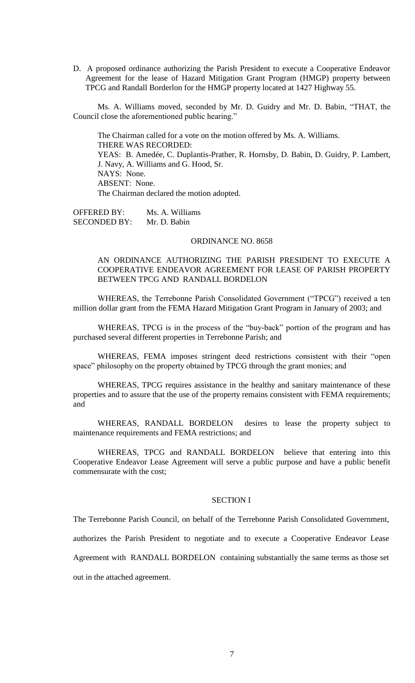D. A proposed ordinance authorizing the Parish President to execute a Cooperative Endeavor Agreement for the lease of Hazard Mitigation Grant Program (HMGP) property between TPCG and Randall Borderlon for the HMGP property located at 1427 Highway 55.

Ms. A. Williams moved, seconded by Mr. D. Guidry and Mr. D. Babin, "THAT, the Council close the aforementioned public hearing."

The Chairman called for a vote on the motion offered by Ms. A. Williams. THERE WAS RECORDED: YEAS: B. Amedée, C. Duplantis-Prather, R. Hornsby, D. Babin, D. Guidry, P. Lambert, J. Navy, A. Williams and G. Hood, Sr. NAYS: None. ABSENT: None. The Chairman declared the motion adopted.

OFFERED BY: Ms. A. Williams SECONDED BY: Mr. D. Babin

#### ORDINANCE NO. 8658

# AN ORDINANCE AUTHORIZING THE PARISH PRESIDENT TO EXECUTE A COOPERATIVE ENDEAVOR AGREEMENT FOR LEASE OF PARISH PROPERTY BETWEEN TPCG AND RANDALL BORDELON

WHEREAS, the Terrebonne Parish Consolidated Government ("TPCG") received a ten million dollar grant from the FEMA Hazard Mitigation Grant Program in January of 2003; and

WHEREAS, TPCG is in the process of the "buy-back" portion of the program and has purchased several different properties in Terrebonne Parish; and

WHEREAS, FEMA imposes stringent deed restrictions consistent with their "open space" philosophy on the property obtained by TPCG through the grant monies; and

WHEREAS, TPCG requires assistance in the healthy and sanitary maintenance of these properties and to assure that the use of the property remains consistent with FEMA requirements; and

WHEREAS, RANDALL BORDELON desires to lease the property subject to maintenance requirements and FEMA restrictions; and

WHEREAS, TPCG and RANDALL BORDELON believe that entering into this Cooperative Endeavor Lease Agreement will serve a public purpose and have a public benefit commensurate with the cost;

# SECTION I

The Terrebonne Parish Council, on behalf of the Terrebonne Parish Consolidated Government,

authorizes the Parish President to negotiate and to execute a Cooperative Endeavor Lease

Agreement with RANDALL BORDELON containing substantially the same terms as those set

out in the attached agreement.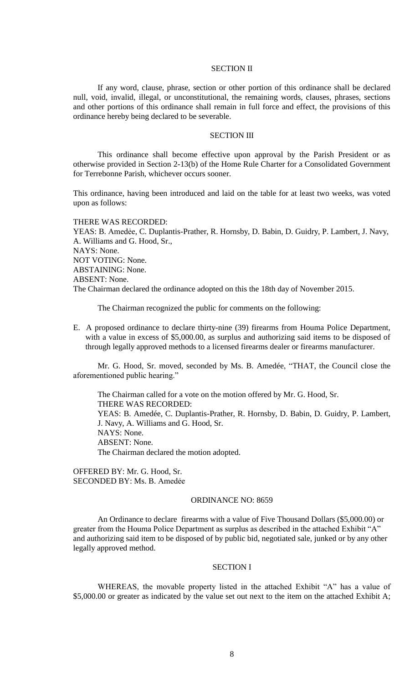# SECTION II

If any word, clause, phrase, section or other portion of this ordinance shall be declared null, void, invalid, illegal, or unconstitutional, the remaining words, clauses, phrases, sections and other portions of this ordinance shall remain in full force and effect, the provisions of this ordinance hereby being declared to be severable.

# SECTION III

This ordinance shall become effective upon approval by the Parish President or as otherwise provided in Section 2-13(b) of the Home Rule Charter for a Consolidated Government for Terrebonne Parish, whichever occurs sooner.

This ordinance, having been introduced and laid on the table for at least two weeks, was voted upon as follows:

# THERE WAS RECORDED:

YEAS: B. Amedėe, C. Duplantis-Prather, R. Hornsby, D. Babin, D. Guidry, P. Lambert, J. Navy, A. Williams and G. Hood, Sr., NAYS: None. NOT VOTING: None. ABSTAINING: None. ABSENT: None. The Chairman declared the ordinance adopted on this the 18th day of November 2015.

The Chairman recognized the public for comments on the following:

E. A proposed ordinance to declare thirty-nine (39) firearms from Houma Police Department, with a value in excess of \$5,000.00, as surplus and authorizing said items to be disposed of through legally approved methods to a licensed firearms dealer or firearms manufacturer.

Mr. G. Hood, Sr. moved, seconded by Ms. B. Amedée, "THAT, the Council close the aforementioned public hearing."

The Chairman called for a vote on the motion offered by Mr. G. Hood, Sr. THERE WAS RECORDED: YEAS: B. Amedée, C. Duplantis-Prather, R. Hornsby, D. Babin, D. Guidry, P. Lambert, J. Navy, A. Williams and G. Hood, Sr. NAYS: None. ABSENT: None. The Chairman declared the motion adopted.

OFFERED BY: Mr. G. Hood, Sr. SECONDED BY: Ms. B. Amedẻe

# ORDINANCE NO: 8659

An Ordinance to declare firearms with a value of Five Thousand Dollars (\$5,000.00) or greater from the Houma Police Department as surplus as described in the attached Exhibit "A" and authorizing said item to be disposed of by public bid, negotiated sale, junked or by any other legally approved method.

# SECTION I

WHEREAS, the movable property listed in the attached Exhibit "A" has a value of \$5,000.00 or greater as indicated by the value set out next to the item on the attached Exhibit A;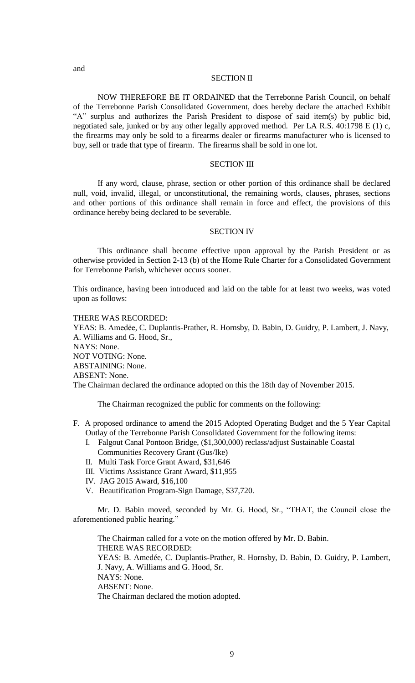# SECTION II

NOW THEREFORE BE IT ORDAINED that the Terrebonne Parish Council, on behalf of the Terrebonne Parish Consolidated Government, does hereby declare the attached Exhibit "A" surplus and authorizes the Parish President to dispose of said item(s) by public bid, negotiated sale, junked or by any other legally approved method. Per LA R.S. 40:1798 E (1) c, the firearms may only be sold to a firearms dealer or firearms manufacturer who is licensed to buy, sell or trade that type of firearm. The firearms shall be sold in one lot.

# SECTION III

If any word, clause, phrase, section or other portion of this ordinance shall be declared null, void, invalid, illegal, or unconstitutional, the remaining words, clauses, phrases, sections and other portions of this ordinance shall remain in force and effect, the provisions of this ordinance hereby being declared to be severable.

### SECTION IV

This ordinance shall become effective upon approval by the Parish President or as otherwise provided in Section 2-13 (b) of the Home Rule Charter for a Consolidated Government for Terrebonne Parish, whichever occurs sooner.

This ordinance, having been introduced and laid on the table for at least two weeks, was voted upon as follows:

# THERE WAS RECORDED:

YEAS: B. Amedẻe, C. Duplantis-Prather, R. Hornsby, D. Babin, D. Guidry, P. Lambert, J. Navy, A. Williams and G. Hood, Sr., NAYS: None. NOT VOTING: None. ABSTAINING: None. ABSENT: None. The Chairman declared the ordinance adopted on this the 18th day of November 2015.

The Chairman recognized the public for comments on the following:

- F. A proposed ordinance to amend the 2015 Adopted Operating Budget and the 5 Year Capital Outlay of the Terrebonne Parish Consolidated Government for the following items:
	- I. Falgout Canal Pontoon Bridge, (\$1,300,000) reclass/adjust Sustainable Coastal Communities Recovery Grant (Gus/Ike)
	- II. Multi Task Force Grant Award, \$31,646
	- III. Victims Assistance Grant Award, \$11,955
	- IV. JAG 2015 Award, \$16,100
	- V. Beautification Program-Sign Damage, \$37,720.

Mr. D. Babin moved, seconded by Mr. G. Hood, Sr., "THAT, the Council close the aforementioned public hearing."

The Chairman called for a vote on the motion offered by Mr. D. Babin. THERE WAS RECORDED: YEAS: B. Amedée, C. Duplantis-Prather, R. Hornsby, D. Babin, D. Guidry, P. Lambert, J. Navy, A. Williams and G. Hood, Sr. NAYS: None. ABSENT: None. The Chairman declared the motion adopted.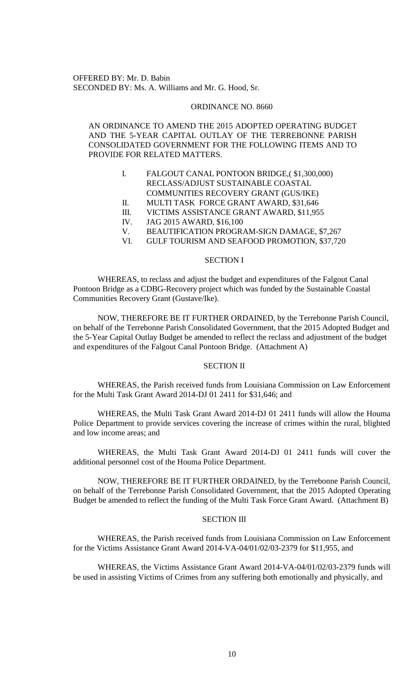OFFERED BY: Mr. D. Babin SECONDED BY: Ms. A. Williams and Mr. G. Hood, Sr.

#### ORDINANCE NO. 8660

# AN ORDINANCE TO AMEND THE 2015 ADOPTED OPERATING BUDGET AND THE 5-YEAR CAPITAL OUTLAY OF THE TERREBONNE PARISH CONSOLIDATED GOVERNMENT FOR THE FOLLOWING ITEMS AND TO PROVIDE FOR RELATED MATTERS.

- I. FALGOUT CANAL PONTOON BRIDGE,( \$1,300,000) RECLASS/ADJUST SUSTAINABLE COASTAL COMMUNITIES RECOVERY GRANT (GUS/IKE)
- II. MULTI TASK FORCE GRANT AWARD, \$31,646
- III. VICTIMS ASSISTANCE GRANT AWARD, \$11,955
- IV. JAG 2015 AWARD, \$16,100
- V. BEAUTIFICATION PROGRAM-SIGN DAMAGE, \$7,267
- VI. GULF TOURISM AND SEAFOOD PROMOTION, \$37,720

# SECTION I

WHEREAS, to reclass and adjust the budget and expenditures of the Falgout Canal Pontoon Bridge as a CDBG-Recovery project which was funded by the Sustainable Coastal Communities Recovery Grant (Gustave/Ike).

NOW, THEREFORE BE IT FURTHER ORDAINED, by the Terrebonne Parish Council, on behalf of the Terrebonne Parish Consolidated Government, that the 2015 Adopted Budget and the 5-Year Capital Outlay Budget be amended to reflect the reclass and adjustment of the budget and expenditures of the Falgout Canal Pontoon Bridge. (Attachment A)

# SECTION II

WHEREAS, the Parish received funds from Louisiana Commission on Law Enforcement for the Multi Task Grant Award 2014-DJ 01 2411 for \$31,646; and

WHEREAS, the Multi Task Grant Award 2014-DJ 01 2411 funds will allow the Houma Police Department to provide services covering the increase of crimes within the rural, blighted and low income areas; and

WHEREAS, the Multi Task Grant Award 2014-DJ 01 2411 funds will cover the additional personnel cost of the Houma Police Department.

NOW, THEREFORE BE IT FURTHER ORDAINED, by the Terrebonne Parish Council, on behalf of the Terrebonne Parish Consolidated Government, that the 2015 Adopted Operating Budget be amended to reflect the funding of the Multi Task Force Grant Award. (Attachment B)

# SECTION III

WHEREAS, the Parish received funds from Louisiana Commission on Law Enforcement for the Victims Assistance Grant Award 2014-VA-04/01/02/03-2379 for \$11,955, and

WHEREAS, the Victims Assistance Grant Award 2014-VA-04/01/02/03-2379 funds will be used in assisting Victims of Crimes from any suffering both emotionally and physically, and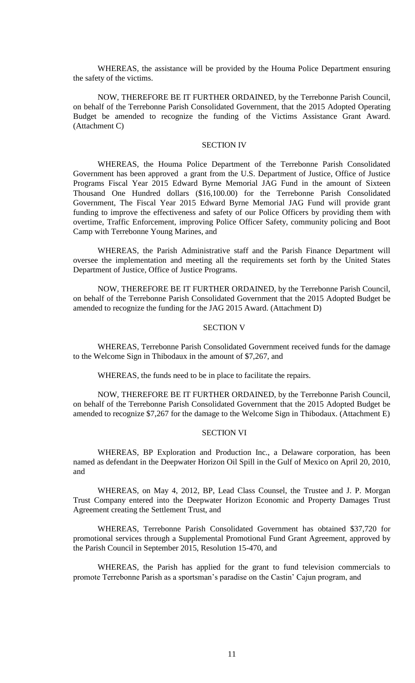WHEREAS, the assistance will be provided by the Houma Police Department ensuring the safety of the victims.

NOW, THEREFORE BE IT FURTHER ORDAINED, by the Terrebonne Parish Council, on behalf of the Terrebonne Parish Consolidated Government, that the 2015 Adopted Operating Budget be amended to recognize the funding of the Victims Assistance Grant Award. (Attachment C)

#### SECTION IV

WHEREAS, the Houma Police Department of the Terrebonne Parish Consolidated Government has been approved a grant from the U.S. Department of Justice, Office of Justice Programs Fiscal Year 2015 Edward Byrne Memorial JAG Fund in the amount of Sixteen Thousand One Hundred dollars (\$16,100.00) for the Terrebonne Parish Consolidated Government, The Fiscal Year 2015 Edward Byrne Memorial JAG Fund will provide grant funding to improve the effectiveness and safety of our Police Officers by providing them with overtime, Traffic Enforcement, improving Police Officer Safety, community policing and Boot Camp with Terrebonne Young Marines, and

WHEREAS, the Parish Administrative staff and the Parish Finance Department will oversee the implementation and meeting all the requirements set forth by the United States Department of Justice, Office of Justice Programs.

NOW, THEREFORE BE IT FURTHER ORDAINED, by the Terrebonne Parish Council, on behalf of the Terrebonne Parish Consolidated Government that the 2015 Adopted Budget be amended to recognize the funding for the JAG 2015 Award. (Attachment D)

### SECTION V

WHEREAS, Terrebonne Parish Consolidated Government received funds for the damage to the Welcome Sign in Thibodaux in the amount of \$7,267, and

WHEREAS, the funds need to be in place to facilitate the repairs.

NOW, THEREFORE BE IT FURTHER ORDAINED, by the Terrebonne Parish Council, on behalf of the Terrebonne Parish Consolidated Government that the 2015 Adopted Budget be amended to recognize \$7,267 for the damage to the Welcome Sign in Thibodaux. (Attachment E)

### SECTION VI

WHEREAS, BP Exploration and Production Inc., a Delaware corporation, has been named as defendant in the Deepwater Horizon Oil Spill in the Gulf of Mexico on April 20, 2010, and

WHEREAS, on May 4, 2012, BP, Lead Class Counsel, the Trustee and J. P. Morgan Trust Company entered into the Deepwater Horizon Economic and Property Damages Trust Agreement creating the Settlement Trust, and

WHEREAS, Terrebonne Parish Consolidated Government has obtained \$37,720 for promotional services through a Supplemental Promotional Fund Grant Agreement, approved by the Parish Council in September 2015, Resolution 15-470, and

WHEREAS, the Parish has applied for the grant to fund television commercials to promote Terrebonne Parish as a sportsman's paradise on the Castin' Cajun program, and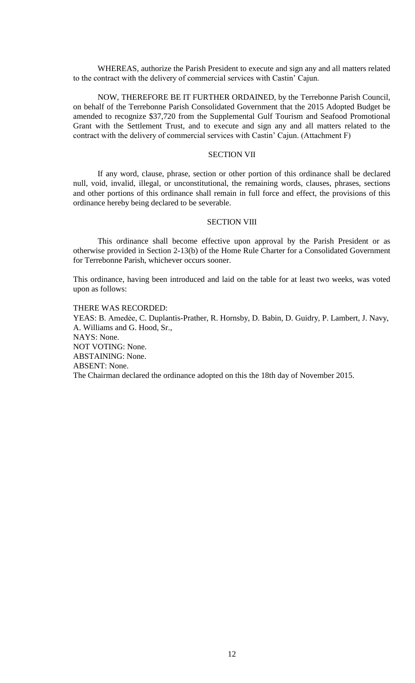WHEREAS, authorize the Parish President to execute and sign any and all matters related to the contract with the delivery of commercial services with Castin' Cajun.

NOW, THEREFORE BE IT FURTHER ORDAINED, by the Terrebonne Parish Council, on behalf of the Terrebonne Parish Consolidated Government that the 2015 Adopted Budget be amended to recognize \$37,720 from the Supplemental Gulf Tourism and Seafood Promotional Grant with the Settlement Trust, and to execute and sign any and all matters related to the contract with the delivery of commercial services with Castin' Cajun. (Attachment F)

### SECTION VII

If any word, clause, phrase, section or other portion of this ordinance shall be declared null, void, invalid, illegal, or unconstitutional, the remaining words, clauses, phrases, sections and other portions of this ordinance shall remain in full force and effect, the provisions of this ordinance hereby being declared to be severable.

# SECTION VIII

This ordinance shall become effective upon approval by the Parish President or as otherwise provided in Section 2-13(b) of the Home Rule Charter for a Consolidated Government for Terrebonne Parish, whichever occurs sooner.

This ordinance, having been introduced and laid on the table for at least two weeks, was voted upon as follows:

# THERE WAS RECORDED:

YEAS: B. Amedée, C. Duplantis-Prather, R. Hornsby, D. Babin, D. Guidry, P. Lambert, J. Navy, A. Williams and G. Hood, Sr., NAYS: None. NOT VOTING: None. ABSTAINING: None. ABSENT: None. The Chairman declared the ordinance adopted on this the 18th day of November 2015.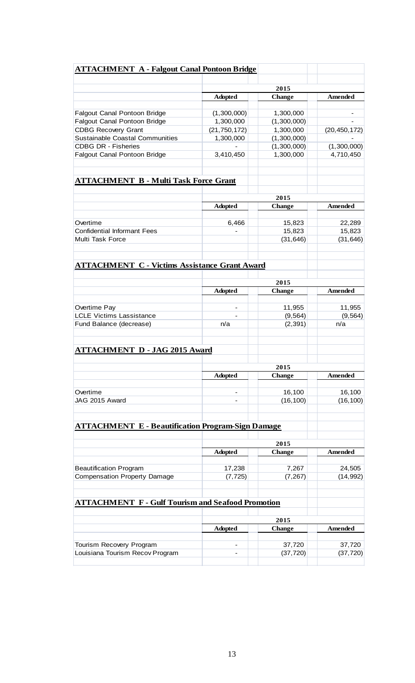|                                                             |                | 2015                |                          |  |
|-------------------------------------------------------------|----------------|---------------------|--------------------------|--|
|                                                             | <b>Adopted</b> | <b>Change</b>       | <b>Amended</b>           |  |
| <b>Falgout Canal Pontoon Bridge</b>                         | (1,300,000)    | 1,300,000           |                          |  |
| <b>Falgout Canal Pontoon Bridge</b>                         | 1,300,000      | (1,300,000)         |                          |  |
| <b>CDBG Recovery Grant</b>                                  | (21, 750, 172) | 1,300,000           |                          |  |
| <b>Sustainable Coastal Communities</b>                      |                |                     | (20, 450, 172)           |  |
|                                                             | 1,300,000      | (1,300,000)         |                          |  |
| <b>CDBG DR - Fisheries</b>                                  |                | (1,300,000)         | (1,300,000)<br>4,710,450 |  |
| <b>Falgout Canal Pontoon Bridge</b>                         | 3,410,450      | 1,300,000           |                          |  |
| <b>ATTACHMENT B - Multi Task Force Grant</b>                |                |                     |                          |  |
|                                                             |                |                     |                          |  |
|                                                             |                | 2015                |                          |  |
|                                                             | <b>Adopted</b> | <b>Change</b>       | <b>Amended</b>           |  |
|                                                             |                |                     |                          |  |
| Overtime                                                    | 6,466          | 15,823              | 22,289                   |  |
| <b>Confidential Informant Fees</b>                          |                | 15,823              | 15,823                   |  |
| Multi Task Force                                            |                | (31, 646)           | (31, 646)                |  |
| <b>ATTACHMENT C - Victims Assistance Grant Award</b>        |                |                     |                          |  |
|                                                             |                |                     |                          |  |
|                                                             |                | 2015                |                          |  |
|                                                             | <b>Adopted</b> | <b>Change</b>       | <b>Amended</b>           |  |
| Overtime Pay                                                |                | 11,955              | 11,955                   |  |
| <b>LCLE Victims Lassistance</b>                             |                | (9, 564)            | (9, 564)                 |  |
| Fund Balance (decrease)                                     | n/a            | (2, 391)            | n/a                      |  |
|                                                             |                |                     |                          |  |
| <b>ATTACHMENT D - JAG 2015 Award</b>                        |                |                     |                          |  |
|                                                             |                |                     |                          |  |
|                                                             |                | 2015                |                          |  |
|                                                             | <b>Adopted</b> | <b>Change</b>       | Amended                  |  |
|                                                             |                |                     |                          |  |
| Overtime                                                    |                | 16,100              | 16,100                   |  |
| JAG 2015 Award                                              |                | (16, 100)           | (16, 100)                |  |
| <b>ATTACHMENT E - Beautification Program-Sign Damage</b>    |                |                     |                          |  |
|                                                             |                | 2015                |                          |  |
|                                                             | <b>Adopted</b> | <b>Change</b>       | <b>Amended</b>           |  |
|                                                             |                |                     |                          |  |
| <b>Beautification Program</b>                               | 17,238         | 7,267               | 24,505                   |  |
| <b>Compensation Property Damage</b>                         | (7, 725)       | (7, 267)            | (14, 992)                |  |
|                                                             |                |                     |                          |  |
| <b>ATTACHMENT F - Gulf Tourism and Seafood Promotion</b>    |                | 2015                |                          |  |
|                                                             |                |                     |                          |  |
|                                                             | <b>Adopted</b> | <b>Change</b>       | <b>Amended</b>           |  |
|                                                             |                |                     |                          |  |
| Tourism Recovery Program<br>Louisiana Tourism Recov Program |                | 37,720<br>(37, 720) | 37,720<br>(37, 720)      |  |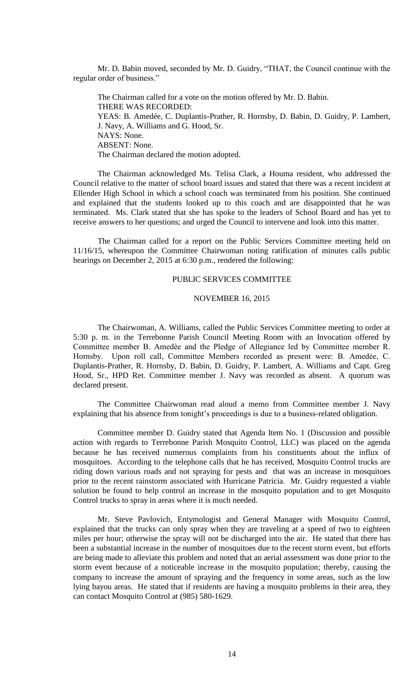Mr. D. Babin moved, seconded by Mr. D. Guidry, "THAT, the Council continue with the regular order of business."

The Chairman called for a vote on the motion offered by Mr. D. Babin. THERE WAS RECORDED: YEAS: B. Amedée, C. Duplantis-Prather, R. Hornsby, D. Babin, D. Guidry, P. Lambert, J. Navy, A. Williams and G. Hood, Sr. NAYS: None. ABSENT: None. The Chairman declared the motion adopted.

The Chairman acknowledged Ms. Telisa Clark, a Houma resident, who addressed the Council relative to the matter of school board issues and stated that there was a recent incident at Ellender High School in which a school coach was terminated from his position. She continued and explained that the students looked up to this coach and are disappointed that he was terminated. Ms. Clark stated that she has spoke to the leaders of School Board and has yet to receive answers to her questions; and urged the Council to intervene and look into this matter.

The Chairman called for a report on the Public Services Committee meeting held on 11/16/15, whereupon the Committee Chairwoman noting ratification of minutes calls public hearings on December 2, 2015 at 6:30 p.m., rendered the following:

### PUBLIC SERVICES COMMITTEE

### NOVEMBER 16, 2015

The Chairwoman, A. Williams, called the Public Services Committee meeting to order at 5:30 p. m. in the Terrebonne Parish Council Meeting Room with an Invocation offered by Committee member B. Amedѐe and the Pledge of Allegiance led by Committee member R. Hornsby. Upon roll call, Committee Members recorded as present were: B. Amedẻe, C. Duplantis-Prather, R. Hornsby, D. Babin, D. Guidry, P. Lambert, A. Williams and Capt. Greg Hood, Sr., HPD Ret. Committee member J. Navy was recorded as absent. A quorum was declared present.

The Committee Chairwoman read aloud a memo from Committee member J. Navy explaining that his absence from tonight's proceedings is due to a business-related obligation.

Committee member D. Guidry stated that Agenda Item No. 1 (Discussion and possible action with regards to Terrebonne Parish Mosquito Control, LLC) was placed on the agenda because he has received numerous complaints from his constituents about the influx of mosquitoes. According to the telephone calls that he has received, Mosquito Control trucks are riding down various roads and not spraying for pests and that was an increase in mosquitoes prior to the recent rainstorm associated with Hurricane Patricia. Mr. Guidry requested a viable solution be found to help control an increase in the mosquito population and to get Mosquito Control trucks to spray in areas where it is much needed.

Mr. Steve Pavlovich, Entymologist and General Manager with Mosquito Control, explained that the trucks can only spray when they are traveling at a speed of two to eighteen miles per hour; otherwise the spray will not be discharged into the air. He stated that there has been a substantial increase in the number of mosquitoes due to the recent storm event, but efforts are being made to alleviate this problem and noted that an aerial assessment was done prior to the storm event because of a noticeable increase in the mosquito population; thereby, causing the company to increase the amount of spraying and the frequency in some areas, such as the low lying bayou areas. He stated that if residents are having a mosquito problems in their area, they can contact Mosquito Control at (985) 580-1629.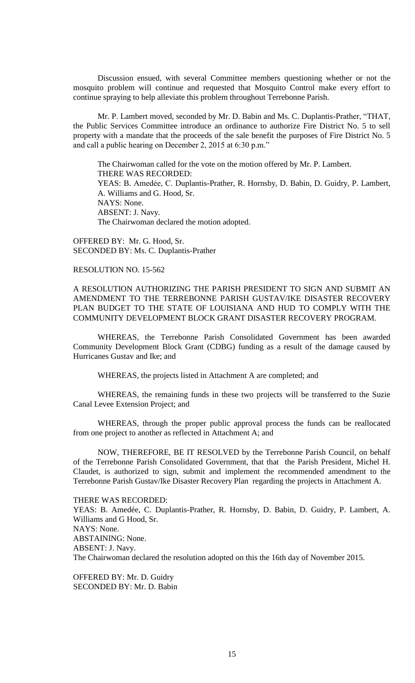Discussion ensued, with several Committee members questioning whether or not the mosquito problem will continue and requested that Mosquito Control make every effort to continue spraying to help alleviate this problem throughout Terrebonne Parish.

Mr. P. Lambert moved, seconded by Mr. D. Babin and Ms. C. Duplantis-Prather, "THAT, the Public Services Committee introduce an ordinance to authorize Fire District No. 5 to sell property with a mandate that the proceeds of the sale benefit the purposes of Fire District No. 5 and call a public hearing on December 2, 2015 at 6:30 p.m."

The Chairwoman called for the vote on the motion offered by Mr. P. Lambert. THERE WAS RECORDED: YEAS: B. Amedẻe, C. Duplantis-Prather, R. Hornsby, D. Babin, D. Guidry, P. Lambert, A. Williams and G. Hood, Sr. NAYS: None. ABSENT: J. Navy. The Chairwoman declared the motion adopted.

OFFERED BY: Mr. G. Hood, Sr. SECONDED BY: Ms. C. Duplantis-Prather

# RESOLUTION NO. 15-562

A RESOLUTION AUTHORIZING THE PARISH PRESIDENT TO SIGN AND SUBMIT AN AMENDMENT TO THE TERREBONNE PARISH GUSTAV/IKE DISASTER RECOVERY PLAN BUDGET TO THE STATE OF LOUISIANA AND HUD TO COMPLY WITH THE COMMUNITY DEVELOPMENT BLOCK GRANT DISASTER RECOVERY PROGRAM.

WHEREAS, the Terrebonne Parish Consolidated Government has been awarded Community Development Block Grant (CDBG) funding as a result of the damage caused by Hurricanes Gustav and Ike; and

WHEREAS, the projects listed in Attachment A are completed; and

WHEREAS, the remaining funds in these two projects will be transferred to the Suzie Canal Levee Extension Project; and

WHEREAS, through the proper public approval process the funds can be reallocated from one project to another as reflected in Attachment A; and

NOW, THEREFORE, BE IT RESOLVED by the Terrebonne Parish Council, on behalf of the Terrebonne Parish Consolidated Government, that that the Parish President, Michel H. Claudet, is authorized to sign, submit and implement the recommended amendment to the Terrebonne Parish Gustav/Ike Disaster Recovery Plan regarding the projects in Attachment A.

### THERE WAS RECORDED:

YEAS: B. Amedée, C. Duplantis-Prather, R. Hornsby, D. Babin, D. Guidry, P. Lambert, A. Williams and G Hood, Sr. NAYS: None. ABSTAINING: None. ABSENT: J. Navy. The Chairwoman declared the resolution adopted on this the 16th day of November 2015.

OFFERED BY: Mr. D. Guidry SECONDED BY: Mr. D. Babin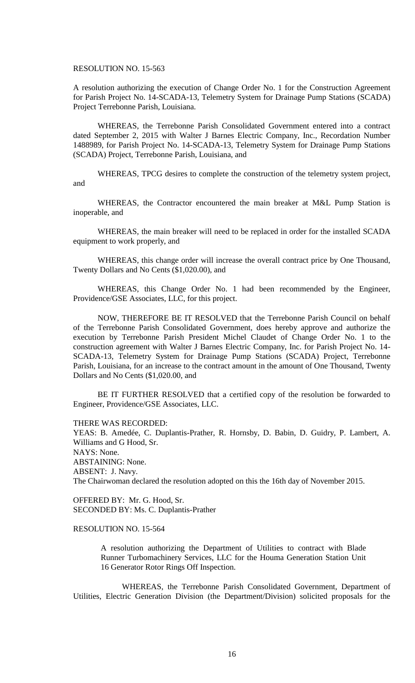### RESOLUTION NO. 15-563

A resolution authorizing the execution of Change Order No. 1 for the Construction Agreement for Parish Project No. 14-SCADA-13, Telemetry System for Drainage Pump Stations (SCADA) Project Terrebonne Parish, Louisiana.

WHEREAS, the Terrebonne Parish Consolidated Government entered into a contract dated September 2, 2015 with Walter J Barnes Electric Company, Inc., Recordation Number 1488989, for Parish Project No. 14-SCADA-13, Telemetry System for Drainage Pump Stations (SCADA) Project, Terrebonne Parish, Louisiana, and

WHEREAS, TPCG desires to complete the construction of the telemetry system project, and

WHEREAS, the Contractor encountered the main breaker at M&L Pump Station is inoperable, and

WHEREAS, the main breaker will need to be replaced in order for the installed SCADA equipment to work properly, and

WHEREAS, this change order will increase the overall contract price by One Thousand, Twenty Dollars and No Cents (\$1,020.00), and

WHEREAS, this Change Order No. 1 had been recommended by the Engineer, Providence/GSE Associates, LLC, for this project.

NOW, THEREFORE BE IT RESOLVED that the Terrebonne Parish Council on behalf of the Terrebonne Parish Consolidated Government, does hereby approve and authorize the execution by Terrebonne Parish President Michel Claudet of Change Order No. 1 to the construction agreement with Walter J Barnes Electric Company, Inc. for Parish Project No. 14- SCADA-13, Telemetry System for Drainage Pump Stations (SCADA) Project, Terrebonne Parish, Louisiana, for an increase to the contract amount in the amount of One Thousand, Twenty Dollars and No Cents (\$1,020.00, and

BE IT FURTHER RESOLVED that a certified copy of the resolution be forwarded to Engineer, Providence/GSE Associates, LLC.

THERE WAS RECORDED:

YEAS: B. Amedée, C. Duplantis-Prather, R. Hornsby, D. Babin, D. Guidry, P. Lambert, A. Williams and G Hood, Sr. NAYS: None. ABSTAINING: None. ABSENT: J. Navy. The Chairwoman declared the resolution adopted on this the 16th day of November 2015.

OFFERED BY: Mr. G. Hood, Sr. SECONDED BY: Ms. C. Duplantis-Prather

# RESOLUTION NO. 15-564

A resolution authorizing the Department of Utilities to contract with Blade Runner Turbomachinery Services, LLC for the Houma Generation Station Unit 16 Generator Rotor Rings Off Inspection.

WHEREAS, the Terrebonne Parish Consolidated Government, Department of Utilities, Electric Generation Division (the Department/Division) solicited proposals for the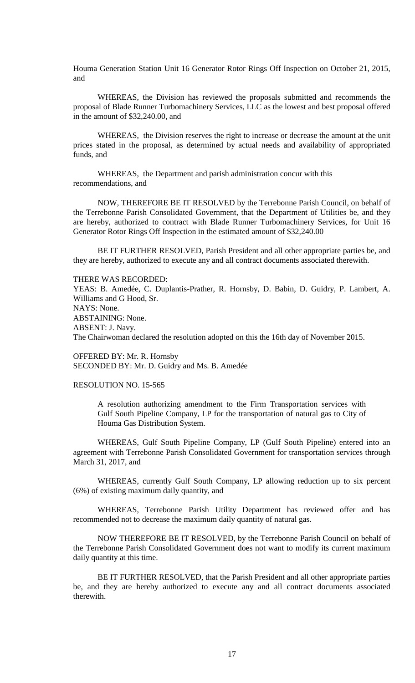Houma Generation Station Unit 16 Generator Rotor Rings Off Inspection on October 21, 2015, and

WHEREAS, the Division has reviewed the proposals submitted and recommends the proposal of Blade Runner Turbomachinery Services, LLC as the lowest and best proposal offered in the amount of \$32,240.00, and

WHEREAS, the Division reserves the right to increase or decrease the amount at the unit prices stated in the proposal, as determined by actual needs and availability of appropriated funds, and

WHEREAS, the Department and parish administration concur with this recommendations, and

NOW, THEREFORE BE IT RESOLVED by the Terrebonne Parish Council, on behalf of the Terrebonne Parish Consolidated Government, that the Department of Utilities be, and they are hereby, authorized to contract with Blade Runner Turbomachinery Services, for Unit 16 Generator Rotor Rings Off Inspection in the estimated amount of \$32,240.00

BE IT FURTHER RESOLVED, Parish President and all other appropriate parties be, and they are hereby, authorized to execute any and all contract documents associated therewith.

#### THERE WAS RECORDED:

YEAS: B. Amedée, C. Duplantis-Prather, R. Hornsby, D. Babin, D. Guidry, P. Lambert, A. Williams and G Hood, Sr. NAYS: None. ABSTAINING: None. ABSENT: J. Navy. The Chairwoman declared the resolution adopted on this the 16th day of November 2015.

OFFERED BY: Mr. R. Hornsby SECONDED BY: Mr. D. Guidry and Ms. B. Amedée

### RESOLUTION NO. 15-565

A resolution authorizing amendment to the Firm Transportation services with Gulf South Pipeline Company, LP for the transportation of natural gas to City of Houma Gas Distribution System.

WHEREAS, Gulf South Pipeline Company, LP (Gulf South Pipeline) entered into an agreement with Terrebonne Parish Consolidated Government for transportation services through March 31, 2017, and

WHEREAS, currently Gulf South Company, LP allowing reduction up to six percent (6%) of existing maximum daily quantity, and

WHEREAS, Terrebonne Parish Utility Department has reviewed offer and has recommended not to decrease the maximum daily quantity of natural gas.

NOW THEREFORE BE IT RESOLVED, by the Terrebonne Parish Council on behalf of the Terrebonne Parish Consolidated Government does not want to modify its current maximum daily quantity at this time.

BE IT FURTHER RESOLVED, that the Parish President and all other appropriate parties be, and they are hereby authorized to execute any and all contract documents associated therewith.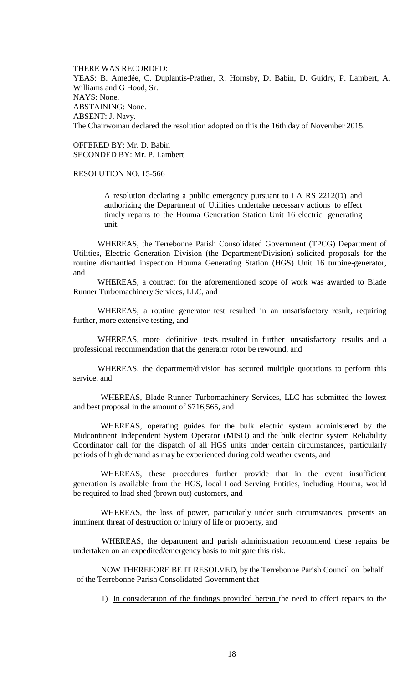THERE WAS RECORDED: YEAS: B. Amedée, C. Duplantis-Prather, R. Hornsby, D. Babin, D. Guidry, P. Lambert, A. Williams and G Hood, Sr. NAYS: None. ABSTAINING: None. ABSENT: J. Navy. The Chairwoman declared the resolution adopted on this the 16th day of November 2015.

OFFERED BY: Mr. D. Babin SECONDED BY: Mr. P. Lambert

# RESOLUTION NO. 15-566

A resolution declaring a public emergency pursuant to LA RS 2212(D) and authorizing the Department of Utilities undertake necessary actions to effect timely repairs to the Houma Generation Station Unit 16 electric generating unit.

WHEREAS, the Terrebonne Parish Consolidated Government (TPCG) Department of Utilities, Electric Generation Division (the Department/Division) solicited proposals for the routine dismantled inspection Houma Generating Station (HGS) Unit 16 turbine-generator, and

WHEREAS, a contract for the aforementioned scope of work was awarded to Blade Runner Turbomachinery Services, LLC, and

WHEREAS, a routine generator test resulted in an unsatisfactory result, requiring further, more extensive testing, and

WHEREAS, more definitive tests resulted in further unsatisfactory results and a professional recommendation that the generator rotor be rewound, and

WHEREAS, the department/division has secured multiple quotations to perform this service, and

WHEREAS, Blade Runner Turbomachinery Services, LLC has submitted the lowest and best proposal in the amount of \$716,565, and

WHEREAS, operating guides for the bulk electric system administered by the Midcontinent Independent System Operator (MISO) and the bulk electric system Reliability Coordinator call for the dispatch of all HGS units under certain circumstances, particularly periods of high demand as may be experienced during cold weather events, and

WHEREAS, these procedures further provide that in the event insufficient generation is available from the HGS, local Load Serving Entities, including Houma, would be required to load shed (brown out) customers, and

WHEREAS, the loss of power, particularly under such circumstances, presents an imminent threat of destruction or injury of life or property, and

WHEREAS, the department and parish administration recommend these repairs be undertaken on an expedited/emergency basis to mitigate this risk.

NOW THEREFORE BE IT RESOLVED, by the Terrebonne Parish Council on behalf of the Terrebonne Parish Consolidated Government that

1) In consideration of the findings provided herein the need to effect repairs to the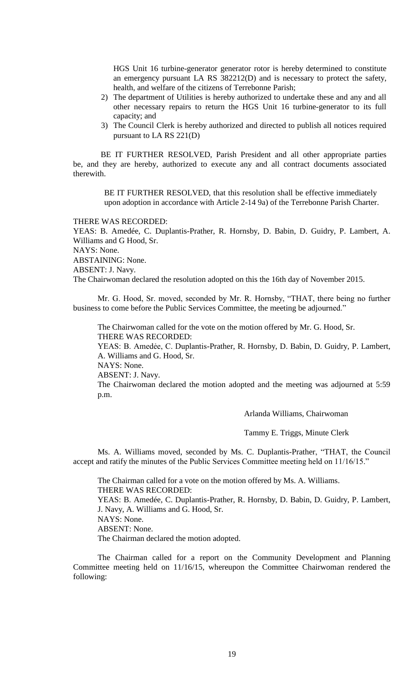HGS Unit 16 turbine-generator generator rotor is hereby determined to constitute an emergency pursuant LA RS 382212(D) and is necessary to protect the safety, health, and welfare of the citizens of Terrebonne Parish;

- 2) The department of Utilities is hereby authorized to undertake these and any and all other necessary repairs to return the HGS Unit 16 turbine-generator to its full capacity; and
- 3) The Council Clerk is hereby authorized and directed to publish all notices required pursuant to LA RS 221(D)

BE IT FURTHER RESOLVED, Parish President and all other appropriate parties be, and they are hereby, authorized to execute any and all contract documents associated therewith.

BE IT FURTHER RESOLVED, that this resolution shall be effective immediately upon adoption in accordance with Article 2-14 9a) of the Terrebonne Parish Charter.

# THERE WAS RECORDED:

YEAS: B. Amedée, C. Duplantis-Prather, R. Hornsby, D. Babin, D. Guidry, P. Lambert, A. Williams and G Hood, Sr.

NAYS: None.

ABSTAINING: None.

ABSENT: J. Navy.

The Chairwoman declared the resolution adopted on this the 16th day of November 2015.

Mr. G. Hood, Sr. moved, seconded by Mr. R. Hornsby, "THAT, there being no further business to come before the Public Services Committee, the meeting be adjourned."

The Chairwoman called for the vote on the motion offered by Mr. G. Hood, Sr. THERE WAS RECORDED:

YEAS: B. Amedẻe, C. Duplantis-Prather, R. Hornsby, D. Babin, D. Guidry, P. Lambert, A. Williams and G. Hood, Sr.

NAYS: None.

ABSENT: J. Navy.

The Chairwoman declared the motion adopted and the meeting was adjourned at 5:59 p.m.

Arlanda Williams, Chairwoman

Tammy E. Triggs, Minute Clerk

Ms. A. Williams moved, seconded by Ms. C. Duplantis-Prather, "THAT, the Council accept and ratify the minutes of the Public Services Committee meeting held on 11/16/15."

The Chairman called for a vote on the motion offered by Ms. A. Williams. THERE WAS RECORDED: YEAS: B. Amedée, C. Duplantis-Prather, R. Hornsby, D. Babin, D. Guidry, P. Lambert, J. Navy, A. Williams and G. Hood, Sr. NAYS: None. ABSENT: None. The Chairman declared the motion adopted.

The Chairman called for a report on the Community Development and Planning Committee meeting held on 11/16/15, whereupon the Committee Chairwoman rendered the following: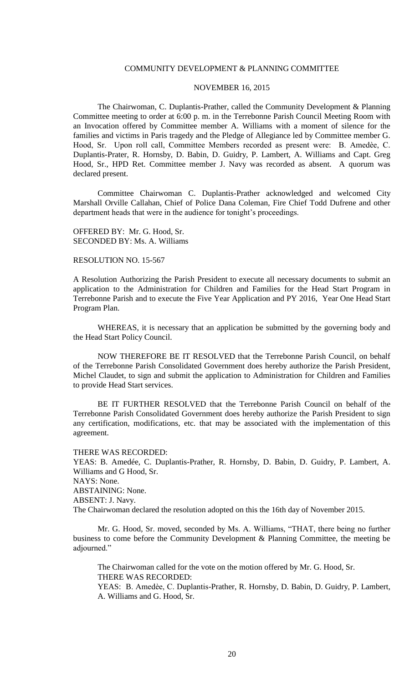### COMMUNITY DEVELOPMENT & PLANNING COMMITTEE

# NOVEMBER 16, 2015

The Chairwoman, C. Duplantis-Prather, called the Community Development & Planning Committee meeting to order at 6:00 p. m. in the Terrebonne Parish Council Meeting Room with an Invocation offered by Committee member A. Williams with a moment of silence for the families and victims in Paris tragedy and the Pledge of Allegiance led by Committee member G. Hood, Sr. Upon roll call, Committee Members recorded as present were: B. Amedèe, C. Duplantis-Prater, R. Hornsby, D. Babin, D. Guidry, P. Lambert, A. Williams and Capt. Greg Hood, Sr., HPD Ret. Committee member J. Navy was recorded as absent. A quorum was declared present.

Committee Chairwoman C. Duplantis-Prather acknowledged and welcomed City Marshall Orville Callahan, Chief of Police Dana Coleman, Fire Chief Todd Dufrene and other department heads that were in the audience for tonight's proceedings.

OFFERED BY: Mr. G. Hood, Sr. SECONDED BY: Ms. A. Williams

### RESOLUTION NO. 15-567

A Resolution Authorizing the Parish President to execute all necessary documents to submit an application to the Administration for Children and Families for the Head Start Program in Terrebonne Parish and to execute the Five Year Application and PY 2016, Year One Head Start Program Plan.

WHEREAS, it is necessary that an application be submitted by the governing body and the Head Start Policy Council.

NOW THEREFORE BE IT RESOLVED that the Terrebonne Parish Council, on behalf of the Terrebonne Parish Consolidated Government does hereby authorize the Parish President, Michel Claudet, to sign and submit the application to Administration for Children and Families to provide Head Start services.

BE IT FURTHER RESOLVED that the Terrebonne Parish Council on behalf of the Terrebonne Parish Consolidated Government does hereby authorize the Parish President to sign any certification, modifications, etc. that may be associated with the implementation of this agreement.

THERE WAS RECORDED:

YEAS: B. Amedée, C. Duplantis-Prather, R. Hornsby, D. Babin, D. Guidry, P. Lambert, A. Williams and G Hood, Sr.

NAYS: None.

ABSTAINING: None.

ABSENT: J. Navy.

The Chairwoman declared the resolution adopted on this the 16th day of November 2015.

Mr. G. Hood, Sr. moved, seconded by Ms. A. Williams, "THAT, there being no further business to come before the Community Development & Planning Committee, the meeting be adjourned."

The Chairwoman called for the vote on the motion offered by Mr. G. Hood, Sr. THERE WAS RECORDED:

YEAS: B. Amedѐe, C. Duplantis-Prather, R. Hornsby, D. Babin, D. Guidry, P. Lambert, A. Williams and G. Hood, Sr.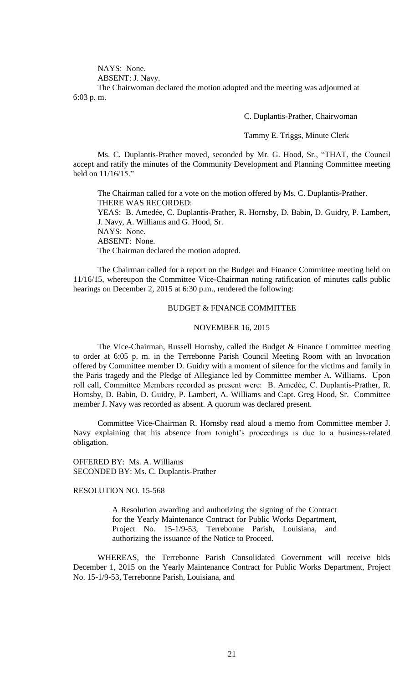NAYS: None.

ABSENT: J. Navy.

The Chairwoman declared the motion adopted and the meeting was adjourned at 6:03 p. m.

C. Duplantis-Prather, Chairwoman

Tammy E. Triggs, Minute Clerk

Ms. C. Duplantis-Prather moved, seconded by Mr. G. Hood, Sr., "THAT, the Council accept and ratify the minutes of the Community Development and Planning Committee meeting held on 11/16/15."

The Chairman called for a vote on the motion offered by Ms. C. Duplantis-Prather. THERE WAS RECORDED: YEAS: B. Amedée, C. Duplantis-Prather, R. Hornsby, D. Babin, D. Guidry, P. Lambert, J. Navy, A. Williams and G. Hood, Sr. NAYS: None. ABSENT: None. The Chairman declared the motion adopted.

The Chairman called for a report on the Budget and Finance Committee meeting held on 11/16/15, whereupon the Committee Vice-Chairman noting ratification of minutes calls public hearings on December 2, 2015 at 6:30 p.m., rendered the following:

# BUDGET & FINANCE COMMITTEE

#### NOVEMBER 16, 2015

The Vice-Chairman, Russell Hornsby, called the Budget & Finance Committee meeting to order at 6:05 p. m. in the Terrebonne Parish Council Meeting Room with an Invocation offered by Committee member D. Guidry with a moment of silence for the victims and family in the Paris tragedy and the Pledge of Allegiance led by Committee member A. Williams. Upon roll call, Committee Members recorded as present were: B. Amedẻe, C. Duplantis-Prather, R. Hornsby, D. Babin, D. Guidry, P. Lambert, A. Williams and Capt. Greg Hood, Sr. Committee member J. Navy was recorded as absent. A quorum was declared present.

Committee Vice-Chairman R. Hornsby read aloud a memo from Committee member J. Navy explaining that his absence from tonight's proceedings is due to a business-related obligation.

OFFERED BY: Ms. A. Williams SECONDED BY: Ms. C. Duplantis-Prather

# RESOLUTION NO. 15-568

A Resolution awarding and authorizing the signing of the Contract for the Yearly Maintenance Contract for Public Works Department, Project No. 15-1/9-53, Terrebonne Parish, Louisiana, and authorizing the issuance of the Notice to Proceed.

WHEREAS, the Terrebonne Parish Consolidated Government will receive bids December 1, 2015 on the Yearly Maintenance Contract for Public Works Department, Project No. 15-1/9-53, Terrebonne Parish, Louisiana, and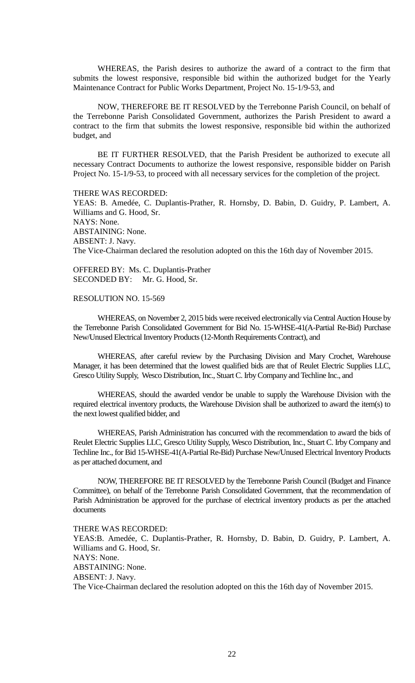WHEREAS, the Parish desires to authorize the award of a contract to the firm that submits the lowest responsive, responsible bid within the authorized budget for the Yearly Maintenance Contract for Public Works Department, Project No. 15-1/9-53, and

NOW, THEREFORE BE IT RESOLVED by the Terrebonne Parish Council, on behalf of the Terrebonne Parish Consolidated Government, authorizes the Parish President to award a contract to the firm that submits the lowest responsive, responsible bid within the authorized budget, and

BE IT FURTHER RESOLVED, that the Parish President be authorized to execute all necessary Contract Documents to authorize the lowest responsive, responsible bidder on Parish Project No. 15-1/9-53, to proceed with all necessary services for the completion of the project.

THERE WAS RECORDED: YEAS: B. Amedée, C. Duplantis-Prather, R. Hornsby, D. Babin, D. Guidry, P. Lambert, A. Williams and G. Hood, Sr. NAYS: None. ABSTAINING: None. ABSENT: J. Navy. The Vice-Chairman declared the resolution adopted on this the 16th day of November 2015.

OFFERED BY: Ms. C. Duplantis-Prather SECONDED BY: Mr. G. Hood, Sr.

# RESOLUTION NO. 15-569

WHEREAS, on November 2, 2015 bids were received electronically via Central Auction House by the Terrebonne Parish Consolidated Government for Bid No. 15-WHSE-41(A-Partial Re-Bid) Purchase New/Unused Electrical Inventory Products (12-Month Requirements Contract), and

WHEREAS, after careful review by the Purchasing Division and Mary Crochet, Warehouse Manager, it has been determined that the lowest qualified bids are that of Reulet Electric Supplies LLC, Gresco Utility Supply, Wesco Distribution, Inc., Stuart C. Irby Company and Techline Inc., and

WHEREAS, should the awarded vendor be unable to supply the Warehouse Division with the required electrical inventory products, the Warehouse Division shall be authorized to award the item(s) to the next lowest qualified bidder, and

WHEREAS, Parish Administration has concurred with the recommendation to award the bids of Reulet Electric Supplies LLC, Gresco Utility Supply, Wesco Distribution, Inc., Stuart C. Irby Company and Techline Inc., for Bid 15-WHSE-41(A-Partial Re-Bid) Purchase New/Unused Electrical Inventory Products as per attached document, and

NOW, THEREFORE BE IT RESOLVED by the Terrebonne Parish Council (Budget and Finance Committee), on behalf of the Terrebonne Parish Consolidated Government, that the recommendation of Parish Administration be approved for the purchase of electrical inventory products as per the attached documents

THERE WAS RECORDED:

YEAS:B. Amedée, C. Duplantis-Prather, R. Hornsby, D. Babin, D. Guidry, P. Lambert, A. Williams and G. Hood, Sr. NAYS: None. ABSTAINING: None. ABSENT: J. Navy. The Vice-Chairman declared the resolution adopted on this the 16th day of November 2015.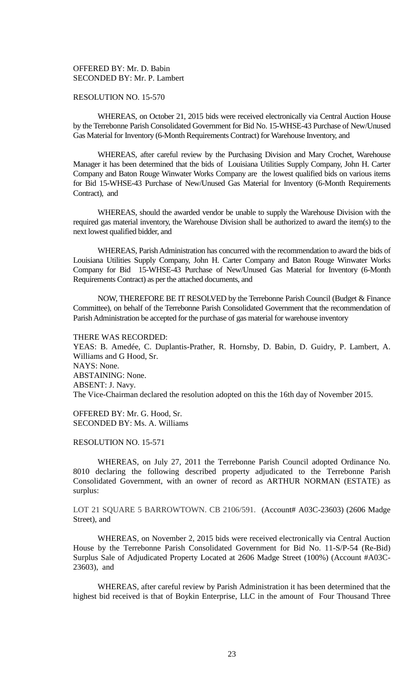# OFFERED BY: Mr. D. Babin SECONDED BY: Mr. P. Lambert

# RESOLUTION NO. 15-570

WHEREAS, on October 21, 2015 bids were received electronically via Central Auction House by the Terrebonne Parish Consolidated Government for Bid No. 15-WHSE-43 Purchase of New/Unused Gas Material for Inventory (6-Month Requirements Contract) for Warehouse Inventory, and

WHEREAS, after careful review by the Purchasing Division and Mary Crochet, Warehouse Manager it has been determined that the bids of Louisiana Utilities Supply Company, John H. Carter Company and Baton Rouge Winwater Works Company are the lowest qualified bids on various items for Bid 15-WHSE-43 Purchase of New/Unused Gas Material for Inventory (6-Month Requirements Contract), and

WHEREAS, should the awarded vendor be unable to supply the Warehouse Division with the required gas material inventory, the Warehouse Division shall be authorized to award the item(s) to the next lowest qualified bidder, and

WHEREAS, Parish Administration has concurred with the recommendation to award the bids of Louisiana Utilities Supply Company, John H. Carter Company and Baton Rouge Winwater Works Company for Bid 15-WHSE-43 Purchase of New/Unused Gas Material for Inventory (6-Month Requirements Contract) as per the attached documents, and

NOW, THEREFORE BE IT RESOLVED by the Terrebonne Parish Council (Budget & Finance Committee), on behalf of the Terrebonne Parish Consolidated Government that the recommendation of Parish Administration be accepted for the purchase of gas material for warehouse inventory

THERE WAS RECORDED:

YEAS: B. Amedée, C. Duplantis-Prather, R. Hornsby, D. Babin, D. Guidry, P. Lambert, A. Williams and G Hood, Sr. NAYS: None. ABSTAINING: None. ABSENT: J. Navy. The Vice-Chairman declared the resolution adopted on this the 16th day of November 2015.

OFFERED BY: Mr. G. Hood, Sr. SECONDED BY: Ms. A. Williams

# RESOLUTION NO. 15-571

WHEREAS, on July 27, 2011 the Terrebonne Parish Council adopted Ordinance No. 8010 declaring the following described property adjudicated to the Terrebonne Parish Consolidated Government, with an owner of record as ARTHUR NORMAN (ESTATE) as surplus:

LOT 21 SQUARE 5 BARROWTOWN. CB 2106/591. (Account# A03C-23603) (2606 Madge Street), and

WHEREAS, on November 2, 2015 bids were received electronically via Central Auction House by the Terrebonne Parish Consolidated Government for Bid No. 11-S/P-54 (Re-Bid) Surplus Sale of Adjudicated Property Located at 2606 Madge Street (100%) (Account #A03C-23603), and

WHEREAS, after careful review by Parish Administration it has been determined that the highest bid received is that of Boykin Enterprise, LLC in the amount of Four Thousand Three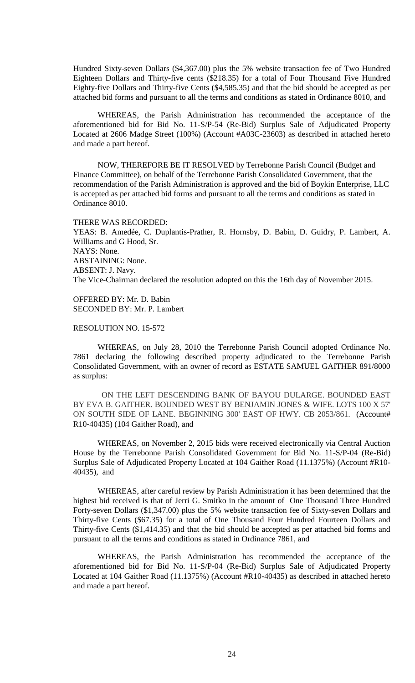Hundred Sixty-seven Dollars (\$4,367.00) plus the 5% website transaction fee of Two Hundred Eighteen Dollars and Thirty-five cents (\$218.35) for a total of Four Thousand Five Hundred Eighty-five Dollars and Thirty-five Cents (\$4,585.35) and that the bid should be accepted as per attached bid forms and pursuant to all the terms and conditions as stated in Ordinance 8010, and

WHEREAS, the Parish Administration has recommended the acceptance of the aforementioned bid for Bid No. 11-S/P-54 (Re-Bid) Surplus Sale of Adjudicated Property Located at 2606 Madge Street (100%) (Account #A03C-23603) as described in attached hereto and made a part hereof.

NOW, THEREFORE BE IT RESOLVED by Terrebonne Parish Council (Budget and Finance Committee), on behalf of the Terrebonne Parish Consolidated Government, that the recommendation of the Parish Administration is approved and the bid of Boykin Enterprise, LLC is accepted as per attached bid forms and pursuant to all the terms and conditions as stated in Ordinance 8010.

#### THERE WAS RECORDED:

YEAS: B. Amedée, C. Duplantis-Prather, R. Hornsby, D. Babin, D. Guidry, P. Lambert, A. Williams and G Hood, Sr. NAYS: None. ABSTAINING: None. ABSENT: J. Navy. The Vice-Chairman declared the resolution adopted on this the 16th day of November 2015.

OFFERED BY: Mr. D. Babin SECONDED BY: Mr. P. Lambert

# RESOLUTION NO. 15-572

WHEREAS, on July 28, 2010 the Terrebonne Parish Council adopted Ordinance No. 7861 declaring the following described property adjudicated to the Terrebonne Parish Consolidated Government, with an owner of record as ESTATE SAMUEL GAITHER 891/8000 as surplus:

 ON THE LEFT DESCENDING BANK OF BAYOU DULARGE. BOUNDED EAST BY EVA B. GAITHER. BOUNDED WEST BY BENJAMIN JONES & WIFE. LOTS 100 X 57' ON SOUTH SIDE OF LANE. BEGINNING 300' EAST OF HWY. CB 2053/861. (Account# R10-40435) (104 Gaither Road), and

WHEREAS, on November 2, 2015 bids were received electronically via Central Auction House by the Terrebonne Parish Consolidated Government for Bid No. 11-S/P-04 (Re-Bid) Surplus Sale of Adjudicated Property Located at 104 Gaither Road (11.1375%) (Account #R10- 40435), and

WHEREAS, after careful review by Parish Administration it has been determined that the highest bid received is that of Jerri G. Smitko in the amount of One Thousand Three Hundred Forty-seven Dollars (\$1,347.00) plus the 5% website transaction fee of Sixty-seven Dollars and Thirty-five Cents (\$67.35) for a total of One Thousand Four Hundred Fourteen Dollars and Thirty-five Cents (\$1,414.35) and that the bid should be accepted as per attached bid forms and pursuant to all the terms and conditions as stated in Ordinance 7861, and

WHEREAS, the Parish Administration has recommended the acceptance of the aforementioned bid for Bid No. 11-S/P-04 (Re-Bid) Surplus Sale of Adjudicated Property Located at 104 Gaither Road (11.1375%) (Account #R10-40435) as described in attached hereto and made a part hereof.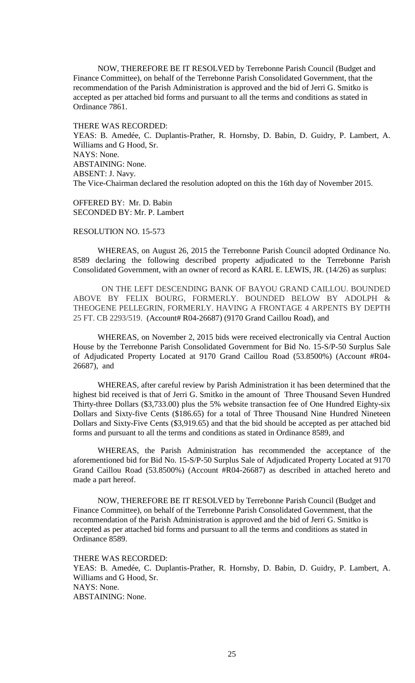NOW, THEREFORE BE IT RESOLVED by Terrebonne Parish Council (Budget and Finance Committee), on behalf of the Terrebonne Parish Consolidated Government, that the recommendation of the Parish Administration is approved and the bid of Jerri G. Smitko is accepted as per attached bid forms and pursuant to all the terms and conditions as stated in Ordinance 7861.

THERE WAS RECORDED: YEAS: B. Amedée, C. Duplantis-Prather, R. Hornsby, D. Babin, D. Guidry, P. Lambert, A. Williams and G Hood, Sr. NAYS: None. ABSTAINING: None. ABSENT: J. Navy. The Vice-Chairman declared the resolution adopted on this the 16th day of November 2015.

OFFERED BY: Mr. D. Babin SECONDED BY: Mr. P. Lambert

#### RESOLUTION NO. 15-573

WHEREAS, on August 26, 2015 the Terrebonne Parish Council adopted Ordinance No. 8589 declaring the following described property adjudicated to the Terrebonne Parish Consolidated Government, with an owner of record as KARL E. LEWIS, JR. (14/26) as surplus:

 ON THE LEFT DESCENDING BANK OF BAYOU GRAND CAILLOU. BOUNDED ABOVE BY FELIX BOURG, FORMERLY. BOUNDED BELOW BY ADOLPH & THEOGENE PELLEGRIN, FORMERLY. HAVING A FRONTAGE 4 ARPENTS BY DEPTH 25 FT. CB 2293/519. (Account# R04-26687) (9170 Grand Caillou Road), and

WHEREAS, on November 2, 2015 bids were received electronically via Central Auction House by the Terrebonne Parish Consolidated Government for Bid No. 15-S/P-50 Surplus Sale of Adjudicated Property Located at 9170 Grand Caillou Road (53.8500%) (Account #R04- 26687), and

WHEREAS, after careful review by Parish Administration it has been determined that the highest bid received is that of Jerri G. Smitko in the amount of Three Thousand Seven Hundred Thirty-three Dollars (\$3,733.00) plus the 5% website transaction fee of One Hundred Eighty-six Dollars and Sixty-five Cents (\$186.65) for a total of Three Thousand Nine Hundred Nineteen Dollars and Sixty-Five Cents (\$3,919.65) and that the bid should be accepted as per attached bid forms and pursuant to all the terms and conditions as stated in Ordinance 8589, and

WHEREAS, the Parish Administration has recommended the acceptance of the aforementioned bid for Bid No. 15-S/P-50 Surplus Sale of Adjudicated Property Located at 9170 Grand Caillou Road (53.8500%) (Account #R04-26687) as described in attached hereto and made a part hereof.

NOW, THEREFORE BE IT RESOLVED by Terrebonne Parish Council (Budget and Finance Committee), on behalf of the Terrebonne Parish Consolidated Government, that the recommendation of the Parish Administration is approved and the bid of Jerri G. Smitko is accepted as per attached bid forms and pursuant to all the terms and conditions as stated in Ordinance 8589.

THERE WAS RECORDED:

YEAS: B. Amedée, C. Duplantis-Prather, R. Hornsby, D. Babin, D. Guidry, P. Lambert, A. Williams and G Hood, Sr. NAYS: None. ABSTAINING: None.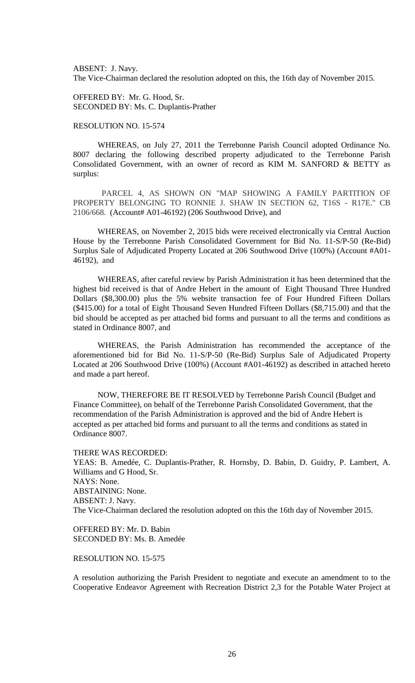ABSENT: J. Navy. The Vice-Chairman declared the resolution adopted on this, the 16th day of November 2015.

OFFERED BY: Mr. G. Hood, Sr. SECONDED BY: Ms. C. Duplantis-Prather

# RESOLUTION NO. 15-574

WHEREAS, on July 27, 2011 the Terrebonne Parish Council adopted Ordinance No. 8007 declaring the following described property adjudicated to the Terrebonne Parish Consolidated Government, with an owner of record as KIM M. SANFORD & BETTY as surplus:

 PARCEL 4, AS SHOWN ON "MAP SHOWING A FAMILY PARTITION OF PROPERTY BELONGING TO RONNIE J. SHAW IN SECTION 62, T16S - R17E." CB 2106/668. (Account# A01-46192) (206 Southwood Drive), and

WHEREAS, on November 2, 2015 bids were received electronically via Central Auction House by the Terrebonne Parish Consolidated Government for Bid No. 11-S/P-50 (Re-Bid) Surplus Sale of Adjudicated Property Located at 206 Southwood Drive (100%) (Account #A01- 46192), and

WHEREAS, after careful review by Parish Administration it has been determined that the highest bid received is that of Andre Hebert in the amount of Eight Thousand Three Hundred Dollars (\$8,300.00) plus the 5% website transaction fee of Four Hundred Fifteen Dollars (\$415.00) for a total of Eight Thousand Seven Hundred Fifteen Dollars (\$8,715.00) and that the bid should be accepted as per attached bid forms and pursuant to all the terms and conditions as stated in Ordinance 8007, and

WHEREAS, the Parish Administration has recommended the acceptance of the aforementioned bid for Bid No. 11-S/P-50 (Re-Bid) Surplus Sale of Adjudicated Property Located at 206 Southwood Drive (100%) (Account #A01-46192) as described in attached hereto and made a part hereof.

NOW, THEREFORE BE IT RESOLVED by Terrebonne Parish Council (Budget and Finance Committee), on behalf of the Terrebonne Parish Consolidated Government, that the recommendation of the Parish Administration is approved and the bid of Andre Hebert is accepted as per attached bid forms and pursuant to all the terms and conditions as stated in Ordinance 8007.

### THERE WAS RECORDED:

YEAS: B. Amedée, C. Duplantis-Prather, R. Hornsby, D. Babin, D. Guidry, P. Lambert, A. Williams and G Hood, Sr. NAYS: None. ABSTAINING: None. ABSENT: J. Navy. The Vice-Chairman declared the resolution adopted on this the 16th day of November 2015.

OFFERED BY: Mr. D. Babin SECONDED BY: Ms. B. Amedée

### RESOLUTION NO. 15-575

A resolution authorizing the Parish President to negotiate and execute an amendment to to the Cooperative Endeavor Agreement with Recreation District 2,3 for the Potable Water Project at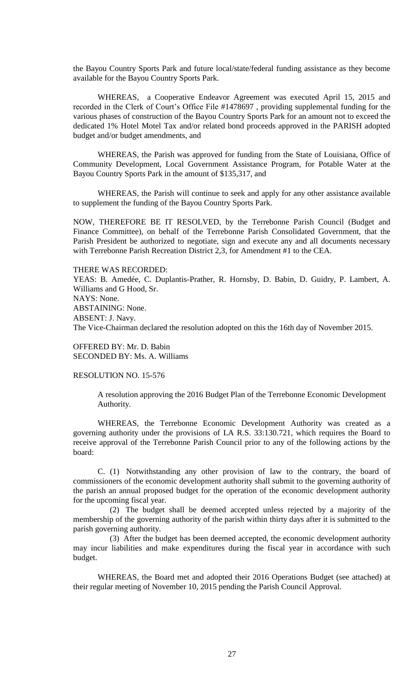the Bayou Country Sports Park and future local/state/federal funding assistance as they become available for the Bayou Country Sports Park.

WHEREAS, a Cooperative Endeavor Agreement was executed April 15, 2015 and recorded in the Clerk of Court's Office File #1478697 , providing supplemental funding for the various phases of construction of the Bayou Country Sports Park for an amount not to exceed the dedicated 1% Hotel Motel Tax and/or related bond proceeds approved in the PARISH adopted budget and/or budget amendments, and

WHEREAS, the Parish was approved for funding from the State of Louisiana, Office of Community Development, Local Government Assistance Program, for Potable Water at the Bayou Country Sports Park in the amount of \$135,317, and

WHEREAS, the Parish will continue to seek and apply for any other assistance available to supplement the funding of the Bayou Country Sports Park.

NOW, THEREFORE BE IT RESOLVED, by the Terrebonne Parish Council (Budget and Finance Committee), on behalf of the Terrebonne Parish Consolidated Government, that the Parish President be authorized to negotiate, sign and execute any and all documents necessary with Terrebonne Parish Recreation District 2,3, for Amendment #1 to the CEA.

#### THERE WAS RECORDED:

YEAS: B. Amedée, C. Duplantis-Prather, R. Hornsby, D. Babin, D. Guidry, P. Lambert, A. Williams and G Hood, Sr. NAYS: None. ABSTAINING: None. ABSENT: J. Navy. The Vice-Chairman declared the resolution adopted on this the 16th day of November 2015.

OFFERED BY: Mr. D. Babin SECONDED BY: Ms. A. Williams

#### RESOLUTION NO. 15-576

A resolution approving the 2016 Budget Plan of the Terrebonne Economic Development Authority.

WHEREAS, the Terrebonne Economic Development Authority was created as a governing authority under the provisions of LA R.S. 33:130.721, which requires the Board to receive approval of the Terrebonne Parish Council prior to any of the following actions by the board:

C. (1) Notwithstanding any other provision of law to the contrary, the board of commissioners of the economic development authority shall submit to the governing authority of the parish an annual proposed budget for the operation of the economic development authority for the upcoming fiscal year.

 (2) The budget shall be deemed accepted unless rejected by a majority of the membership of the governing authority of the parish within thirty days after it is submitted to the parish governing authority.

 (3) After the budget has been deemed accepted, the economic development authority may incur liabilities and make expenditures during the fiscal year in accordance with such budget.

WHEREAS, the Board met and adopted their 2016 Operations Budget (see attached) at their regular meeting of November 10, 2015 pending the Parish Council Approval.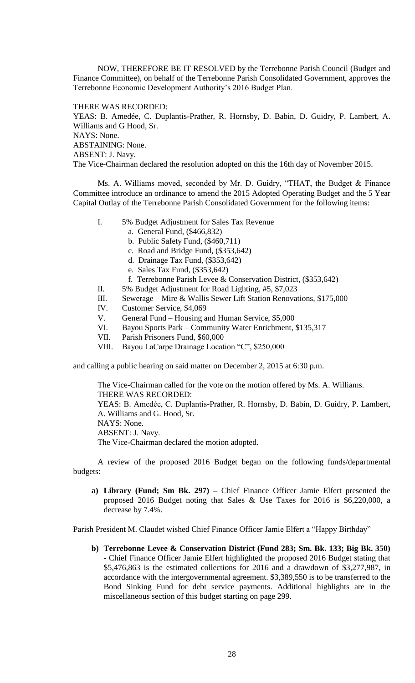NOW, THEREFORE BE IT RESOLVED by the Terrebonne Parish Council (Budget and Finance Committee), on behalf of the Terrebonne Parish Consolidated Government, approves the Terrebonne Economic Development Authority's 2016 Budget Plan.

# THERE WAS RECORDED:

YEAS: B. Amedée, C. Duplantis-Prather, R. Hornsby, D. Babin, D. Guidry, P. Lambert, A. Williams and G Hood, Sr. NAYS: None. ABSTAINING: None. ABSENT: J. Navy. The Vice-Chairman declared the resolution adopted on this the 16th day of November 2015.

Ms. A. Williams moved, seconded by Mr. D. Guidry, "THAT, the Budget & Finance Committee introduce an ordinance to amend the 2015 Adopted Operating Budget and the 5 Year Capital Outlay of the Terrebonne Parish Consolidated Government for the following items:

- I. 5% Budget Adjustment for Sales Tax Revenue
	- a. General Fund, (\$466,832)
	- b. Public Safety Fund, (\$460,711)
	- c. Road and Bridge Fund, (\$353,642)
	- d. Drainage Tax Fund, (\$353,642)
	- e. Sales Tax Fund, (\$353,642)
	- f. Terrebonne Parish Levee & Conservation District, (\$353,642)
- II. 5% Budget Adjustment for Road Lighting, #5, \$7,023
- III. Sewerage Mire & Wallis Sewer Lift Station Renovations, \$175,000
- IV. Customer Service, \$4,069
- V. General Fund Housing and Human Service, \$5,000
- VI. Bayou Sports Park Community Water Enrichment, \$135,317
- VII. Parish Prisoners Fund, \$60,000
- VIII. Bayou LaCarpe Drainage Location "C", \$250,000

and calling a public hearing on said matter on December 2, 2015 at 6:30 p.m.

The Vice-Chairman called for the vote on the motion offered by Ms. A. Williams. THERE WAS RECORDED: YEAS: B. Amedẻe, C. Duplantis-Prather, R. Hornsby, D. Babin, D. Guidry, P. Lambert, A. Williams and G. Hood, Sr. NAYS: None. ABSENT: J. Navy. The Vice-Chairman declared the motion adopted.

A review of the proposed 2016 Budget began on the following funds/departmental budgets:

**a) Library (Fund; Sm Bk. 297) –** Chief Finance Officer Jamie Elfert presented the proposed 2016 Budget noting that Sales & Use Taxes for 2016 is \$6,220,000, a decrease by 7.4%.

Parish President M. Claudet wished Chief Finance Officer Jamie Elfert a "Happy Birthday"

**b) Terrebonne Levee & Conservation District (Fund 283; Sm. Bk. 133; Big Bk. 350) -** Chief Finance Officer Jamie Elfert highlighted the proposed 2016 Budget stating that \$5,476,863 is the estimated collections for 2016 and a drawdown of \$3,277,987, in accordance with the intergovernmental agreement. \$3,389,550 is to be transferred to the Bond Sinking Fund for debt service payments. Additional highlights are in the miscellaneous section of this budget starting on page 299.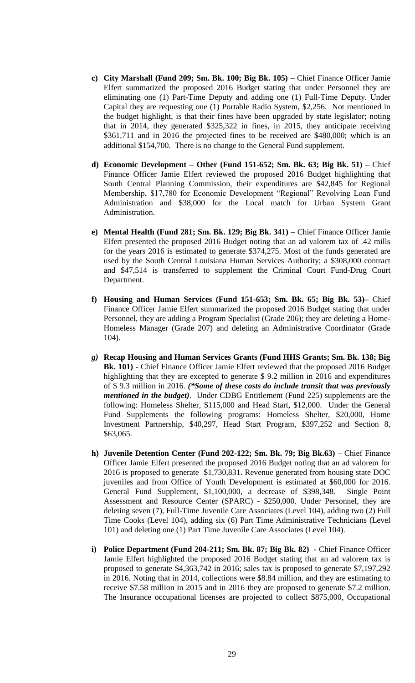- **c) City Marshall (Fund 209; Sm. Bk. 100; Big Bk. 105) –** Chief Finance Officer Jamie Elfert summarized the proposed 2016 Budget stating that under Personnel they are eliminating one (1) Part-Time Deputy and adding one (1) Full-Time Deputy. Under Capital they are requesting one (1) Portable Radio System, \$2,256. Not mentioned in the budget highlight, is that their fines have been upgraded by state legislator; noting that in 2014, they generated \$325,322 in fines, in 2015, they anticipate receiving \$361,711 and in 2016 the projected fines to be received are \$480,000; which is an additional \$154,700. There is no change to the General Fund supplement.
- **d) Economic Development – Other (Fund 151-652; Sm. Bk. 63; Big Bk. 51) –** Chief Finance Officer Jamie Elfert reviewed the proposed 2016 Budget highlighting that South Central Planning Commission, their expenditures are \$42,845 for Regional Membership, \$17,780 for Economic Development "Regional" Revolving Loan Fund Administration and \$38,000 for the Local match for Urban System Grant Administration.
- **e) Mental Health (Fund 281; Sm. Bk. 129; Big Bk. 341) –** Chief Finance Officer Jamie Elfert presented the proposed 2016 Budget noting that an ad valorem tax of .42 mills for the years 2016 is estimated to generate \$374,275. Most of the funds generated are used by the South Central Louisiana Human Services Authority; a \$308,000 contract and \$47,514 is transferred to supplement the Criminal Court Fund-Drug Court Department.
- **f) Housing and Human Services (Fund 151-653; Sm. Bk. 65; Big Bk. 53)–** Chief Finance Officer Jamie Elfert summarized the proposed 2016 Budget stating that under Personnel, they are adding a Program Specialist (Grade 206); they are deleting a Home-Homeless Manager (Grade 207) and deleting an Administrative Coordinator (Grade 104).
- *g)* **Recap Housing and Human Services Grants (Fund HHS Grants; Sm. Bk. 138; Big Bk. 101) -** Chief Finance Officer Jamie Elfert reviewed that the proposed 2016 Budget highlighting that they are excepted to generate \$ 9.2 million in 2016 and expenditures of \$ 9.3 million in 2016. *(\*Some of these costs do include transit that was previously mentioned in the budget)*. Under CDBG Entitlement (Fund 225) supplements are the following: Homeless Shelter, \$115,000 and Head Start, \$12,000. Under the General Fund Supplements the following programs: Homeless Shelter, \$20,000, Home Investment Partnership, \$40,297, Head Start Program, \$397,252 and Section 8, \$63,065.
- **h) Juvenile Detention Center (Fund 202-122; Sm. Bk. 79; Big Bk.63)** Chief Finance Officer Jamie Elfert presented the proposed 2016 Budget noting that an ad valorem for 2016 is proposed to generate \$1,730,831. Revenue generated from housing state DOC juveniles and from Office of Youth Development is estimated at \$60,000 for 2016. General Fund Supplement, \$1,100,000, a decrease of \$398,348. Single Point Assessment and Resource Center (SPARC) - \$250,000. Under Personnel, they are deleting seven (7), Full-Time Juvenile Care Associates (Level 104), adding two (2) Full Time Cooks (Level 104), adding six (6) Part Time Administrative Technicians (Level 101) and deleting one (1) Part Time Juvenile Care Associates (Level 104).
- **i) Police Department (Fund 204-211; Sm. Bk. 87; Big Bk. 82)**  Chief Finance Officer Jamie Elfert highlighted the proposed 2016 Budget stating that an ad valorem tax is proposed to generate \$4,363,742 in 2016; sales tax is proposed to generate \$7,197,292 in 2016. Noting that in 2014, collections were \$8.84 million, and they are estimating to receive \$7.58 million in 2015 and in 2016 they are proposed to generate \$7.2 million. The Insurance occupational licenses are projected to collect \$875,000, Occupational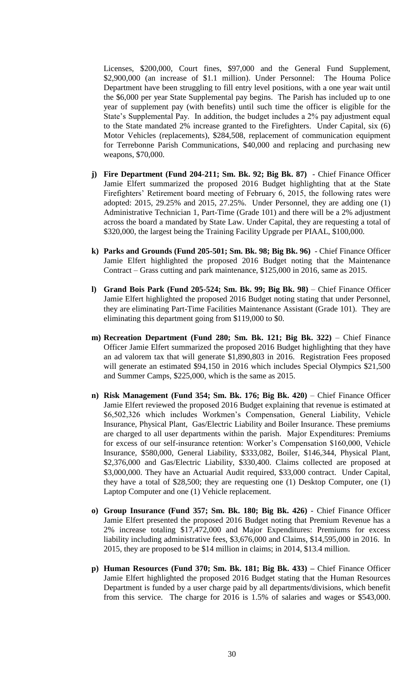Licenses, \$200,000, Court fines, \$97,000 and the General Fund Supplement, \$2,900,000 (an increase of \$1.1 million). Under Personnel: The Houma Police Department have been struggling to fill entry level positions, with a one year wait until the \$6,000 per year State Supplemental pay begins. The Parish has included up to one year of supplement pay (with benefits) until such time the officer is eligible for the State's Supplemental Pay. In addition, the budget includes a 2% pay adjustment equal to the State mandated 2% increase granted to the Firefighters. Under Capital, six (6) Motor Vehicles (replacements), \$284,508, replacement of communication equipment for Terrebonne Parish Communications, \$40,000 and replacing and purchasing new weapons, \$70,000.

- **j) Fire Department (Fund 204-211; Sm. Bk. 92; Big Bk. 87)**  Chief Finance Officer Jamie Elfert summarized the proposed 2016 Budget highlighting that at the State Firefighters' Retirement board meeting of February 6, 2015, the following rates were adopted: 2015, 29.25% and 2015, 27.25%. Under Personnel, they are adding one (1) Administrative Technician 1, Part-Time (Grade 101) and there will be a 2% adjustment across the board a mandated by State Law. Under Capital, they are requesting a total of \$320,000, the largest being the Training Facility Upgrade per PIAAL, \$100,000.
- **k) Parks and Grounds (Fund 205-501; Sm. Bk. 98; Big Bk. 96)**  Chief Finance Officer Jamie Elfert highlighted the proposed 2016 Budget noting that the Maintenance Contract – Grass cutting and park maintenance, \$125,000 in 2016, same as 2015.
- **l) Grand Bois Park (Fund 205-524; Sm. Bk. 99; Big Bk. 98)** Chief Finance Officer Jamie Elfert highlighted the proposed 2016 Budget noting stating that under Personnel, they are eliminating Part-Time Facilities Maintenance Assistant (Grade 101). They are eliminating this department going from \$119,000 to \$0.
- **m) Recreation Department (Fund 280; Sm. Bk. 121; Big Bk. 322)** Chief Finance Officer Jamie Elfert summarized the proposed 2016 Budget highlighting that they have an ad valorem tax that will generate \$1,890,803 in 2016. Registration Fees proposed will generate an estimated \$94,150 in 2016 which includes Special Olympics \$21,500 and Summer Camps, \$225,000, which is the same as 2015.
- **n) Risk Management (Fund 354; Sm. Bk. 176; Big Bk. 420)** Chief Finance Officer Jamie Elfert reviewed the proposed 2016 Budget explaining that revenue is estimated at \$6,502,326 which includes Workmen's Compensation, General Liability, Vehicle Insurance, Physical Plant, Gas/Electric Liability and Boiler Insurance. These premiums are charged to all user departments within the parish. Major Expenditures: Premiums for excess of our self-insurance retention: Worker's Compensation \$160,000, Vehicle Insurance, \$580,000, General Liability, \$333,082, Boiler, \$146,344, Physical Plant, \$2,376,000 and Gas/Electric Liability, \$330,400. Claims collected are proposed at \$3,000,000. They have an Actuarial Audit required, \$33,000 contract. Under Capital, they have a total of \$28,500; they are requesting one (1) Desktop Computer, one (1) Laptop Computer and one (1) Vehicle replacement.
- **o) Group Insurance (Fund 357; Sm. Bk. 180; Big Bk. 426)**  Chief Finance Officer Jamie Elfert presented the proposed 2016 Budget noting that Premium Revenue has a 2% increase totaling \$17,472,000 and Major Expenditures: Premiums for excess liability including administrative fees, \$3,676,000 and Claims, \$14,595,000 in 2016. In 2015, they are proposed to be \$14 million in claims; in 2014, \$13.4 million.
- **p) Human Resources (Fund 370; Sm. Bk. 181; Big Bk. 433) –** Chief Finance Officer Jamie Elfert highlighted the proposed 2016 Budget stating that the Human Resources Department is funded by a user charge paid by all departments/divisions, which benefit from this service. The charge for 2016 is 1.5% of salaries and wages or \$543,000.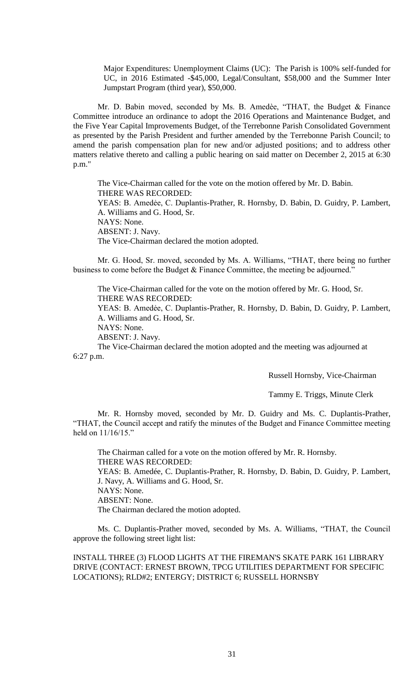Major Expenditures: Unemployment Claims (UC): The Parish is 100% self-funded for UC, in 2016 Estimated -\$45,000, Legal/Consultant, \$58,000 and the Summer Inter Jumpstart Program (third year), \$50,000.

Mr. D. Babin moved, seconded by Ms. B. Amedèe, "THAT, the Budget & Finance Committee introduce an ordinance to adopt the 2016 Operations and Maintenance Budget, and the Five Year Capital Improvements Budget, of the Terrebonne Parish Consolidated Government as presented by the Parish President and further amended by the Terrebonne Parish Council; to amend the parish compensation plan for new and/or adjusted positions; and to address other matters relative thereto and calling a public hearing on said matter on December 2, 2015 at 6:30 p.m."

The Vice-Chairman called for the vote on the motion offered by Mr. D. Babin. THERE WAS RECORDED: YEAS: B. Amedẻe, C. Duplantis-Prather, R. Hornsby, D. Babin, D. Guidry, P. Lambert, A. Williams and G. Hood, Sr. NAYS: None. ABSENT: J. Navy. The Vice-Chairman declared the motion adopted.

Mr. G. Hood, Sr. moved, seconded by Ms. A. Williams, "THAT, there being no further business to come before the Budget & Finance Committee, the meeting be adjourned."

The Vice-Chairman called for the vote on the motion offered by Mr. G. Hood, Sr. THERE WAS RECORDED:

YEAS: B. Amedẻe, C. Duplantis-Prather, R. Hornsby, D. Babin, D. Guidry, P. Lambert, A. Williams and G. Hood, Sr.

NAYS: None.

ABSENT: J. Navy.

The Vice-Chairman declared the motion adopted and the meeting was adjourned at 6:27 p.m.

Russell Hornsby, Vice-Chairman

Tammy E. Triggs, Minute Clerk

Mr. R. Hornsby moved, seconded by Mr. D. Guidry and Ms. C. Duplantis-Prather, "THAT, the Council accept and ratify the minutes of the Budget and Finance Committee meeting held on  $11/16/15$ ."

The Chairman called for a vote on the motion offered by Mr. R. Hornsby. THERE WAS RECORDED: YEAS: B. Amedée, C. Duplantis-Prather, R. Hornsby, D. Babin, D. Guidry, P. Lambert, J. Navy, A. Williams and G. Hood, Sr. NAYS: None. ABSENT: None. The Chairman declared the motion adopted.

Ms. C. Duplantis-Prather moved, seconded by Ms. A. Williams, "THAT, the Council approve the following street light list:

INSTALL THREE (3) FLOOD LIGHTS AT THE FIREMAN'S SKATE PARK 161 LIBRARY DRIVE (CONTACT: ERNEST BROWN, TPCG UTILITIES DEPARTMENT FOR SPECIFIC LOCATIONS); RLD#2; ENTERGY; DISTRICT 6; RUSSELL HORNSBY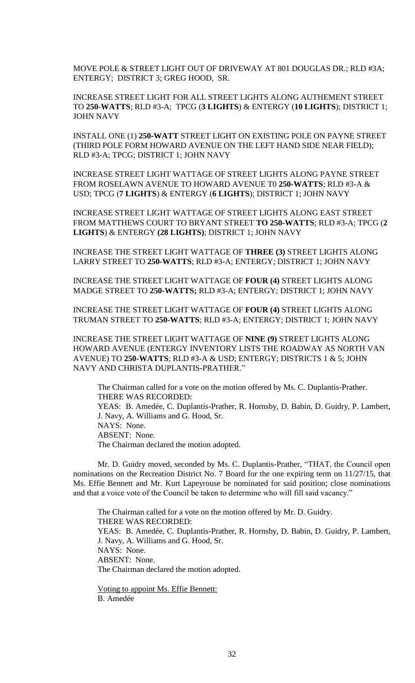MOVE POLE & STREET LIGHT OUT OF DRIVEWAY AT 801 DOUGLAS DR.; RLD #3A; ENTERGY; DISTRICT 3; GREG HOOD, SR.

INCREASE STREET LIGHT FOR ALL STREET LIGHTS ALONG AUTHEMENT STREET TO **250-WATTS**; RLD #3-A; TPCG (**3 LIGHTS**) & ENTERGY (**10 LIGHTS**); DISTRICT 1; JOHN NAVY

INSTALL ONE (1) **250-WATT** STREET LIGHT ON EXISTING POLE ON PAYNE STREET (THIRD POLE FORM HOWARD AVENUE ON THE LEFT HAND SIDE NEAR FIELD); RLD #3-A; TPCG; DISTRICT 1; JOHN NAVY

INCREASE STREET LIGHT WATTAGE OF STREET LIGHTS ALONG PAYNE STREET FROM ROSELAWN AVENUE TO HOWARD AVENUE T0 **250-WATTS**; RLD #3-A & USD; TPCG (**7 LIGHTS**) & ENTERGY (**6 LIGHTS**); DISTRICT 1; JOHN NAVY

INCREASE STREET LIGHT WATTAGE OF STREET LIGHTS ALONG EAST STREET FROM MATTHEWS COURT TO BRYANT STREET **TO 250-WATTS**; RLD #3-A; TPCG (**2 LIGHTS**) & ENTERGY **(28 LIGHTS)**; DISTRICT 1; JOHN NAVY

INCREASE THE STREET LIGHT WATTAGE OF **THREE (3)** STREET LIGHTS ALONG LARRY STREET TO **250-WATTS**; RLD #3-A; ENTERGY; DISTRICT 1; JOHN NAVY

INCREASE THE STREET LIGHT WATTAGE OF **FOUR (4)** STREET LIGHTS ALONG MADGE STREET TO **250-WATTS;** RLD #3-A; ENTERGY; DISTRICT 1; JOHN NAVY

INCREASE THE STREET LIGHT WATTAGE OF **FOUR (4)** STREET LIGHTS ALONG TRUMAN STREET TO **250-WATTS**; RLD #3-A; ENTERGY; DISTRICT 1; JOHN NAVY

INCREASE THE STREET LIGHT WATTAGE OF **NINE (9)** STREET LIGHTS ALONG HOWARD AVENUE (ENTERGY INVENTORY LISTS THE ROADWAY AS NORTH VAN AVENUE) TO **250-WATTS**; RLD #3-A & USD; ENTERGY; DISTRICTS 1 & 5; JOHN NAVY AND CHRISTA DUPLANTIS-PRATHER."

The Chairman called for a vote on the motion offered by Ms. C. Duplantis-Prather. THERE WAS RECORDED: YEAS: B. Amedée, C. Duplantis-Prather, R. Hornsby, D. Babin, D. Guidry, P. Lambert, J. Navy, A. Williams and G. Hood, Sr. NAYS: None. ABSENT: None. The Chairman declared the motion adopted.

Mr. D. Guidry moved, seconded by Ms. C. Duplantis-Prather, "THAT, the Council open nominations on the Recreation District No. 7 Board for the one expiring term on 11/27/15, that Ms. Effie Bennett and Mr. Kurt Lapeyrouse be nominated for said position; close nominations and that a voice vote of the Council be taken to determine who will fill said vacancy."

The Chairman called for a vote on the motion offered by Mr. D. Guidry. THERE WAS RECORDED: YEAS: B. Amedée, C. Duplantis-Prather, R. Hornsby, D. Babin, D. Guidry, P. Lambert, J. Navy, A. Williams and G. Hood, Sr. NAYS: None. ABSENT: None. The Chairman declared the motion adopted.

Voting to appoint Ms. Effie Bennett: B. Amedée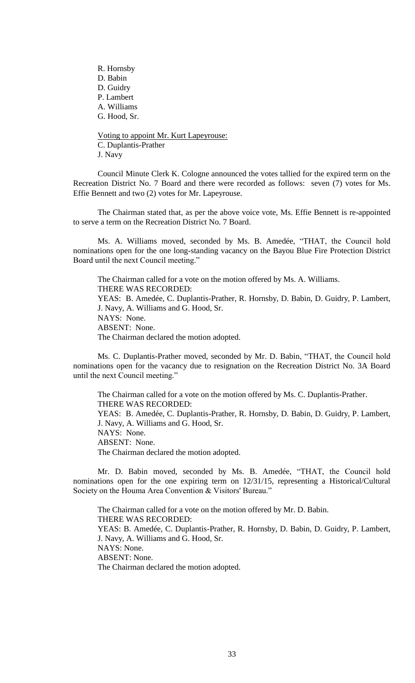R. Hornsby D. Babin D. Guidry P. Lambert A. Williams G. Hood, Sr.

Voting to appoint Mr. Kurt Lapeyrouse: C. Duplantis-Prather J. Navy

Council Minute Clerk K. Cologne announced the votes tallied for the expired term on the Recreation District No. 7 Board and there were recorded as follows: seven (7) votes for Ms. Effie Bennett and two (2) votes for Mr. Lapeyrouse.

The Chairman stated that, as per the above voice vote, Ms. Effie Bennett is re-appointed to serve a term on the Recreation District No. 7 Board.

Ms. A. Williams moved, seconded by Ms. B. Amedée, "THAT, the Council hold nominations open for the one long-standing vacancy on the Bayou Blue Fire Protection District Board until the next Council meeting."

The Chairman called for a vote on the motion offered by Ms. A. Williams. THERE WAS RECORDED: YEAS: B. Amedée, C. Duplantis-Prather, R. Hornsby, D. Babin, D. Guidry, P. Lambert, J. Navy, A. Williams and G. Hood, Sr. NAYS: None. ABSENT: None. The Chairman declared the motion adopted.

Ms. C. Duplantis-Prather moved, seconded by Mr. D. Babin, "THAT, the Council hold nominations open for the vacancy due to resignation on the Recreation District No. 3A Board until the next Council meeting."

The Chairman called for a vote on the motion offered by Ms. C. Duplantis-Prather. THERE WAS RECORDED: YEAS: B. Amedée, C. Duplantis-Prather, R. Hornsby, D. Babin, D. Guidry, P. Lambert, J. Navy, A. Williams and G. Hood, Sr. NAYS: None. ABSENT: None. The Chairman declared the motion adopted.

Mr. D. Babin moved, seconded by Ms. B. Amedée, "THAT, the Council hold nominations open for the one expiring term on 12/31/15, representing a Historical/Cultural Society on the Houma Area Convention & Visitors' Bureau."

The Chairman called for a vote on the motion offered by Mr. D. Babin. THERE WAS RECORDED: YEAS: B. Amedée, C. Duplantis-Prather, R. Hornsby, D. Babin, D. Guidry, P. Lambert, J. Navy, A. Williams and G. Hood, Sr. NAYS: None. ABSENT: None. The Chairman declared the motion adopted.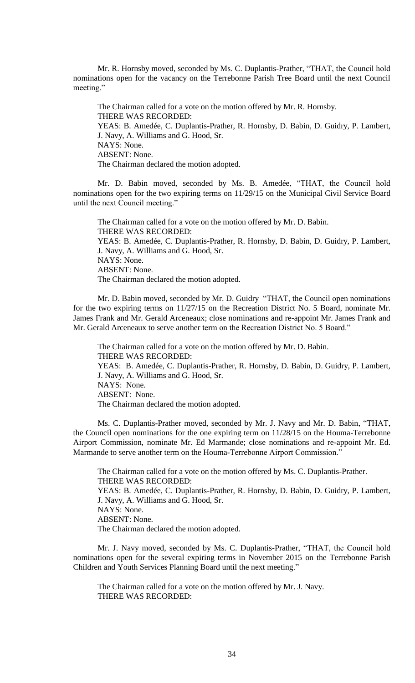Mr. R. Hornsby moved, seconded by Ms. C. Duplantis-Prather, "THAT, the Council hold nominations open for the vacancy on the Terrebonne Parish Tree Board until the next Council meeting."

The Chairman called for a vote on the motion offered by Mr. R. Hornsby. THERE WAS RECORDED: YEAS: B. Amedée, C. Duplantis-Prather, R. Hornsby, D. Babin, D. Guidry, P. Lambert, J. Navy, A. Williams and G. Hood, Sr. NAYS: None. ABSENT: None. The Chairman declared the motion adopted.

Mr. D. Babin moved, seconded by Ms. B. Amedée, "THAT, the Council hold nominations open for the two expiring terms on 11/29/15 on the Municipal Civil Service Board until the next Council meeting."

The Chairman called for a vote on the motion offered by Mr. D. Babin. THERE WAS RECORDED: YEAS: B. Amedée, C. Duplantis-Prather, R. Hornsby, D. Babin, D. Guidry, P. Lambert, J. Navy, A. Williams and G. Hood, Sr. NAYS: None. ABSENT: None. The Chairman declared the motion adopted.

Mr. D. Babin moved, seconded by Mr. D. Guidry "THAT, the Council open nominations for the two expiring terms on 11/27/15 on the Recreation District No. 5 Board, nominate Mr. James Frank and Mr. Gerald Arceneaux; close nominations and re-appoint Mr. James Frank and Mr. Gerald Arceneaux to serve another term on the Recreation District No. 5 Board."

The Chairman called for a vote on the motion offered by Mr. D. Babin. THERE WAS RECORDED: YEAS: B. Amedée, C. Duplantis-Prather, R. Hornsby, D. Babin, D. Guidry, P. Lambert, J. Navy, A. Williams and G. Hood, Sr. NAYS: None. ABSENT: None. The Chairman declared the motion adopted.

Ms. C. Duplantis-Prather moved, seconded by Mr. J. Navy and Mr. D. Babin, "THAT, the Council open nominations for the one expiring term on 11/28/15 on the Houma-Terrebonne Airport Commission, nominate Mr. Ed Marmande; close nominations and re-appoint Mr. Ed. Marmande to serve another term on the Houma-Terrebonne Airport Commission."

The Chairman called for a vote on the motion offered by Ms. C. Duplantis-Prather. THERE WAS RECORDED: YEAS: B. Amedée, C. Duplantis-Prather, R. Hornsby, D. Babin, D. Guidry, P. Lambert, J. Navy, A. Williams and G. Hood, Sr. NAYS: None. ABSENT: None. The Chairman declared the motion adopted.

Mr. J. Navy moved, seconded by Ms. C. Duplantis-Prather, "THAT, the Council hold nominations open for the several expiring terms in November 2015 on the Terrebonne Parish Children and Youth Services Planning Board until the next meeting."

The Chairman called for a vote on the motion offered by Mr. J. Navy. THERE WAS RECORDED: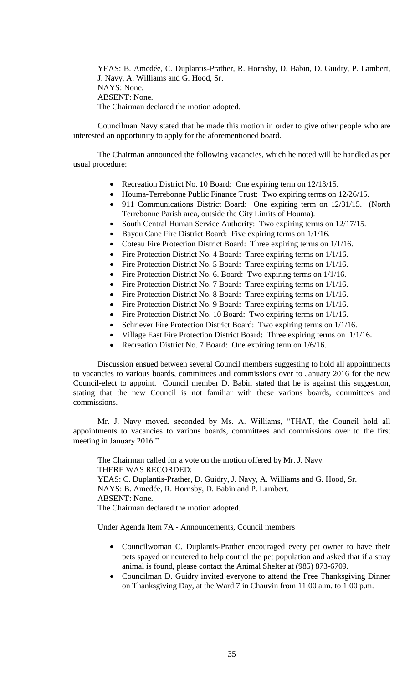YEAS: B. Amedée, C. Duplantis-Prather, R. Hornsby, D. Babin, D. Guidry, P. Lambert, J. Navy, A. Williams and G. Hood, Sr. NAYS: None. ABSENT: None. The Chairman declared the motion adopted.

Councilman Navy stated that he made this motion in order to give other people who are interested an opportunity to apply for the aforementioned board.

The Chairman announced the following vacancies, which he noted will be handled as per usual procedure:

- Recreation District No. 10 Board: One expiring term on 12/13/15.
- Houma-Terrebonne Public Finance Trust: Two expiring terms on 12/26/15.
- 911 Communications District Board: One expiring term on 12/31/15. (North Terrebonne Parish area, outside the City Limits of Houma).
- South Central Human Service Authority: Two expiring terms on 12/17/15.
- Bayou Cane Fire District Board: Five expiring terms on  $1/1/16$ .
- Coteau Fire Protection District Board: Three expiring terms on  $1/1/16$ .
- Fire Protection District No. 4 Board: Three expiring terms on  $1/1/16$ .
- Fire Protection District No. 5 Board: Three expiring terms on  $1/1/16$ .
- Fire Protection District No. 6. Board: Two expiring terms on  $1/1/16$ .
- Fire Protection District No. 7 Board: Three expiring terms on  $1/1/16$ .
- Fire Protection District No. 8 Board: Three expiring terms on 1/1/16.
- Fire Protection District No. 9 Board: Three expiring terms on  $1/1/16$ .
- Fire Protection District No. 10 Board: Two expiring terms on  $1/1/16$ .
- Schriever Fire Protection District Board: Two expiring terms on 1/1/16.
- Village East Fire Protection District Board: Three expiring terms on 1/1/16.
- Recreation District No. 7 Board: One expiring term on 1/6/16.

Discussion ensued between several Council members suggesting to hold all appointments to vacancies to various boards, committees and commissions over to January 2016 for the new Council-elect to appoint. Council member D. Babin stated that he is against this suggestion, stating that the new Council is not familiar with these various boards, committees and commissions.

Mr. J. Navy moved, seconded by Ms. A. Williams, "THAT, the Council hold all appointments to vacancies to various boards, committees and commissions over to the first meeting in January 2016."

The Chairman called for a vote on the motion offered by Mr. J. Navy. THERE WAS RECORDED: YEAS: C. Duplantis-Prather, D. Guidry, J. Navy, A. Williams and G. Hood, Sr. NAYS: B. Amedée, R. Hornsby, D. Babin and P. Lambert. ABSENT: None.

The Chairman declared the motion adopted.

Under Agenda Item 7A - Announcements, Council members

- Councilwoman C. Duplantis-Prather encouraged every pet owner to have their pets spayed or neutered to help control the pet population and asked that if a stray animal is found, please contact the Animal Shelter at (985) 873-6709.
- Councilman D. Guidry invited everyone to attend the Free Thanksgiving Dinner on Thanksgiving Day, at the Ward 7 in Chauvin from 11:00 a.m. to 1:00 p.m.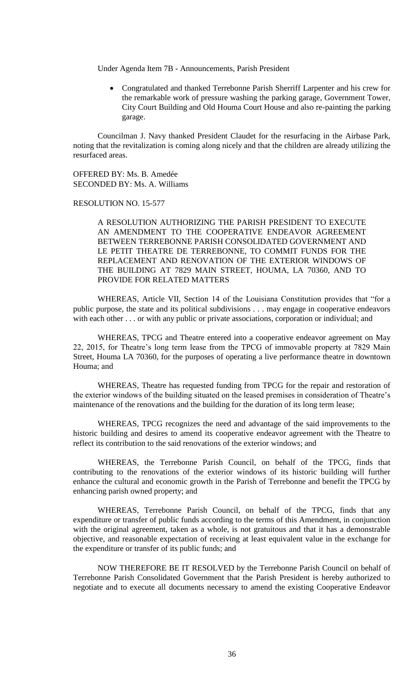Under Agenda Item 7B - Announcements, Parish President

 Congratulated and thanked Terrebonne Parish Sherriff Larpenter and his crew for the remarkable work of pressure washing the parking garage, Government Tower, City Court Building and Old Houma Court House and also re-painting the parking garage.

Councilman J. Navy thanked President Claudet for the resurfacing in the Airbase Park, noting that the revitalization is coming along nicely and that the children are already utilizing the resurfaced areas.

OFFERED BY: Ms. B. Amedée SECONDED BY: Ms. A. Williams

RESOLUTION NO. 15-577

A RESOLUTION AUTHORIZING THE PARISH PRESIDENT TO EXECUTE AN AMENDMENT TO THE COOPERATIVE ENDEAVOR AGREEMENT BETWEEN TERREBONNE PARISH CONSOLIDATED GOVERNMENT AND LE PETIT THEATRE DE TERREBONNE, TO COMMIT FUNDS FOR THE REPLACEMENT AND RENOVATION OF THE EXTERIOR WINDOWS OF THE BUILDING AT 7829 MAIN STREET, HOUMA, LA 70360, AND TO PROVIDE FOR RELATED MATTERS

WHEREAS, Article VII, Section 14 of the Louisiana Constitution provides that "for a public purpose, the state and its political subdivisions . . . may engage in cooperative endeavors with each other . . . or with any public or private associations, corporation or individual; and

WHEREAS, TPCG and Theatre entered into a cooperative endeavor agreement on May 22, 2015, for Theatre's long term lease from the TPCG of immovable property at 7829 Main Street, Houma LA 70360, for the purposes of operating a live performance theatre in downtown Houma; and

WHEREAS, Theatre has requested funding from TPCG for the repair and restoration of the exterior windows of the building situated on the leased premises in consideration of Theatre's maintenance of the renovations and the building for the duration of its long term lease;

WHEREAS, TPCG recognizes the need and advantage of the said improvements to the historic building and desires to amend its cooperative endeavor agreement with the Theatre to reflect its contribution to the said renovations of the exterior windows; and

WHEREAS, the Terrebonne Parish Council, on behalf of the TPCG, finds that contributing to the renovations of the exterior windows of its historic building will further enhance the cultural and economic growth in the Parish of Terrebonne and benefit the TPCG by enhancing parish owned property; and

WHEREAS, Terrebonne Parish Council, on behalf of the TPCG, finds that any expenditure or transfer of public funds according to the terms of this Amendment, in conjunction with the original agreement, taken as a whole, is not gratuitous and that it has a demonstrable objective, and reasonable expectation of receiving at least equivalent value in the exchange for the expenditure or transfer of its public funds; and

NOW THEREFORE BE IT RESOLVED by the Terrebonne Parish Council on behalf of Terrebonne Parish Consolidated Government that the Parish President is hereby authorized to negotiate and to execute all documents necessary to amend the existing Cooperative Endeavor